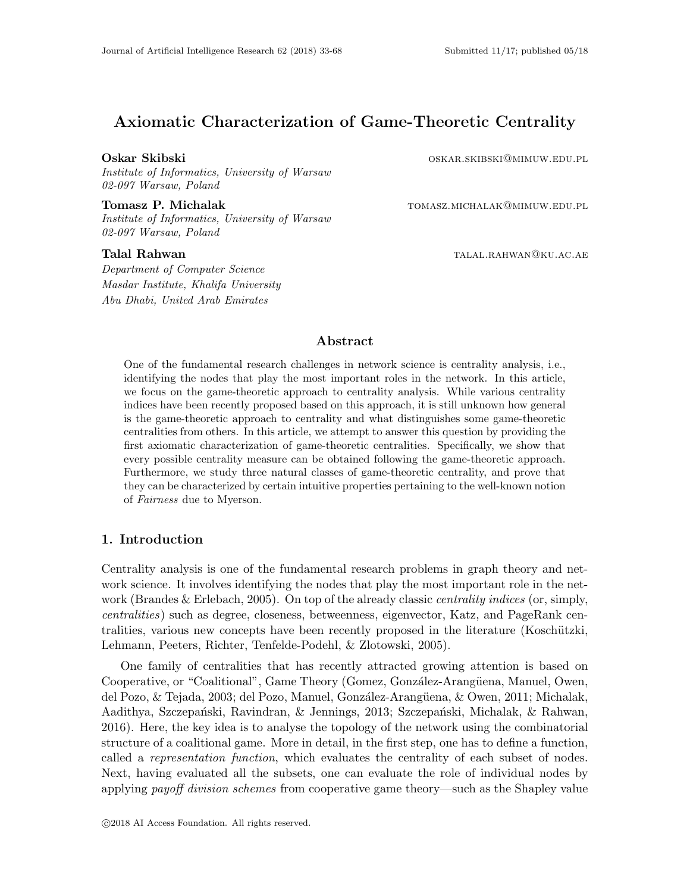# Axiomatic Characterization of Game-Theoretic Centrality

Institute of Informatics, University of Warsaw 02-097 Warsaw, Poland

Tomasz P. Michalak tomasz.michalak tomasz.michalak@mimuw.edu.pl Institute of Informatics, University of Warsaw 02-097 Warsaw, Poland

Department of Computer Science Masdar Institute, Khalifa University Abu Dhabi, United Arab Emirates

Oskar Skibski **oskar Skibski** oskar.skibski@mimuw.edu.pl

Talal Rahwan talalah sebagai pendudukan ke atau tahun tahun tahun tahun ke atau tahun tahun 1980 dan menggal

# Abstract

One of the fundamental research challenges in network science is centrality analysis, i.e., identifying the nodes that play the most important roles in the network. In this article, we focus on the game-theoretic approach to centrality analysis. While various centrality indices have been recently proposed based on this approach, it is still unknown how general is the game-theoretic approach to centrality and what distinguishes some game-theoretic centralities from others. In this article, we attempt to answer this question by providing the first axiomatic characterization of game-theoretic centralities. Specifically, we show that every possible centrality measure can be obtained following the game-theoretic approach. Furthermore, we study three natural classes of game-theoretic centrality, and prove that they can be characterized by certain intuitive properties pertaining to the well-known notion of Fairness due to Myerson.

# 1. Introduction

Centrality analysis is one of the fundamental research problems in graph theory and network science. It involves identifying the nodes that play the most important role in the network (Brandes & Erlebach, 2005). On top of the already classic *centrality indices* (or, simply, centralities) such as degree, closeness, betweenness, eigenvector, Katz, and PageRank centralities, various new concepts have been recently proposed in the literature (Koschützki, Lehmann, Peeters, Richter, Tenfelde-Podehl, & Zlotowski, 2005).

One family of centralities that has recently attracted growing attention is based on Cooperative, or "Coalitional", Game Theory (Gomez, González-Arangüena, Manuel, Owen, del Pozo, & Tejada, 2003; del Pozo, Manuel, González-Arangüena, & Owen, 2011; Michalak, Aadithya, Szczepański, Ravindran, & Jennings, 2013; Szczepański, Michalak, & Rahwan, 2016). Here, the key idea is to analyse the topology of the network using the combinatorial structure of a coalitional game. More in detail, in the first step, one has to define a function, called a representation function, which evaluates the centrality of each subset of nodes. Next, having evaluated all the subsets, one can evaluate the role of individual nodes by applying *payoff division schemes* from cooperative game theory—such as the Shapley value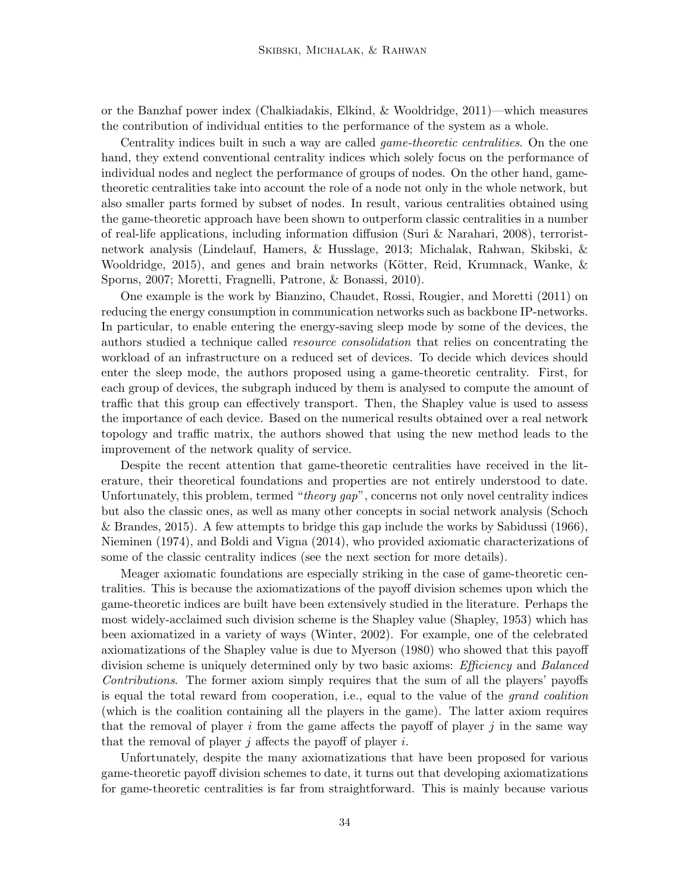or the Banzhaf power index (Chalkiadakis, Elkind, & Wooldridge, 2011)—which measures the contribution of individual entities to the performance of the system as a whole.

Centrality indices built in such a way are called game-theoretic centralities. On the one hand, they extend conventional centrality indices which solely focus on the performance of individual nodes and neglect the performance of groups of nodes. On the other hand, gametheoretic centralities take into account the role of a node not only in the whole network, but also smaller parts formed by subset of nodes. In result, various centralities obtained using the game-theoretic approach have been shown to outperform classic centralities in a number of real-life applications, including information diffusion (Suri & Narahari, 2008), terroristnetwork analysis (Lindelauf, Hamers, & Husslage, 2013; Michalak, Rahwan, Skibski, & Wooldridge, 2015), and genes and brain networks (Kötter, Reid, Krumnack, Wanke,  $\&$ Sporns, 2007; Moretti, Fragnelli, Patrone, & Bonassi, 2010).

One example is the work by Bianzino, Chaudet, Rossi, Rougier, and Moretti (2011) on reducing the energy consumption in communication networks such as backbone IP-networks. In particular, to enable entering the energy-saving sleep mode by some of the devices, the authors studied a technique called *resource consolidation* that relies on concentrating the workload of an infrastructure on a reduced set of devices. To decide which devices should enter the sleep mode, the authors proposed using a game-theoretic centrality. First, for each group of devices, the subgraph induced by them is analysed to compute the amount of traffic that this group can effectively transport. Then, the Shapley value is used to assess the importance of each device. Based on the numerical results obtained over a real network topology and traffic matrix, the authors showed that using the new method leads to the improvement of the network quality of service.

Despite the recent attention that game-theoretic centralities have received in the literature, their theoretical foundations and properties are not entirely understood to date. Unfortunately, this problem, termed "theory gap", concerns not only novel centrality indices but also the classic ones, as well as many other concepts in social network analysis (Schoch & Brandes, 2015). A few attempts to bridge this gap include the works by Sabidussi (1966), Nieminen (1974), and Boldi and Vigna (2014), who provided axiomatic characterizations of some of the classic centrality indices (see the next section for more details).

Meager axiomatic foundations are especially striking in the case of game-theoretic centralities. This is because the axiomatizations of the payoff division schemes upon which the game-theoretic indices are built have been extensively studied in the literature. Perhaps the most widely-acclaimed such division scheme is the Shapley value (Shapley, 1953) which has been axiomatized in a variety of ways (Winter, 2002). For example, one of the celebrated axiomatizations of the Shapley value is due to Myerson (1980) who showed that this payoff division scheme is uniquely determined only by two basic axioms: *Efficiency* and *Balanced* Contributions. The former axiom simply requires that the sum of all the players' payoffs is equal the total reward from cooperation, i.e., equal to the value of the grand coalition (which is the coalition containing all the players in the game). The latter axiom requires that the removal of player  $i$  from the game affects the payoff of player  $j$  in the same way that the removal of player  $j$  affects the payoff of player  $i$ .

Unfortunately, despite the many axiomatizations that have been proposed for various game-theoretic payoff division schemes to date, it turns out that developing axiomatizations for game-theoretic centralities is far from straightforward. This is mainly because various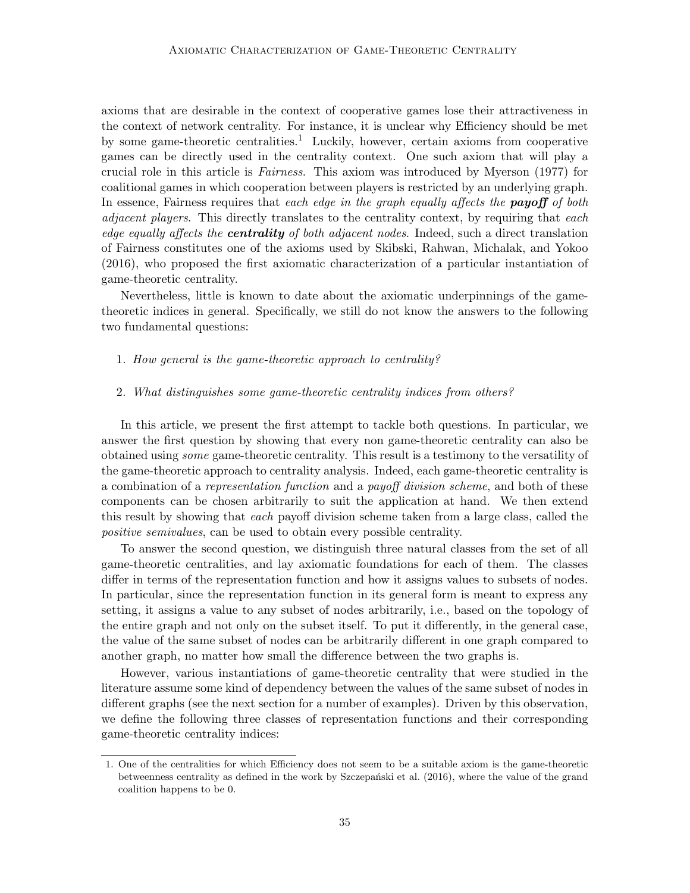axioms that are desirable in the context of cooperative games lose their attractiveness in the context of network centrality. For instance, it is unclear why Efficiency should be met by some game-theoretic centralities.<sup>1</sup> Luckily, however, certain axioms from cooperative games can be directly used in the centrality context. One such axiom that will play a crucial role in this article is Fairness. This axiom was introduced by Myerson (1977) for coalitional games in which cooperation between players is restricted by an underlying graph. In essence, Fairness requires that each edge in the graph equally affects the **payoff** of both adjacent players. This directly translates to the centrality context, by requiring that each edge equally affects the **centrality** of both adjacent nodes. Indeed, such a direct translation of Fairness constitutes one of the axioms used by Skibski, Rahwan, Michalak, and Yokoo (2016), who proposed the first axiomatic characterization of a particular instantiation of game-theoretic centrality.

Nevertheless, little is known to date about the axiomatic underpinnings of the gametheoretic indices in general. Specifically, we still do not know the answers to the following two fundamental questions:

#### 1. How general is the game-theoretic approach to centrality?

#### 2. What distinguishes some game-theoretic centrality indices from others?

In this article, we present the first attempt to tackle both questions. In particular, we answer the first question by showing that every non game-theoretic centrality can also be obtained using some game-theoretic centrality. This result is a testimony to the versatility of the game-theoretic approach to centrality analysis. Indeed, each game-theoretic centrality is a combination of a representation function and a payoff division scheme, and both of these components can be chosen arbitrarily to suit the application at hand. We then extend this result by showing that each payoff division scheme taken from a large class, called the positive semivalues, can be used to obtain every possible centrality.

To answer the second question, we distinguish three natural classes from the set of all game-theoretic centralities, and lay axiomatic foundations for each of them. The classes differ in terms of the representation function and how it assigns values to subsets of nodes. In particular, since the representation function in its general form is meant to express any setting, it assigns a value to any subset of nodes arbitrarily, i.e., based on the topology of the entire graph and not only on the subset itself. To put it differently, in the general case, the value of the same subset of nodes can be arbitrarily different in one graph compared to another graph, no matter how small the difference between the two graphs is.

However, various instantiations of game-theoretic centrality that were studied in the literature assume some kind of dependency between the values of the same subset of nodes in different graphs (see the next section for a number of examples). Driven by this observation, we define the following three classes of representation functions and their corresponding game-theoretic centrality indices:

<sup>1.</sup> One of the centralities for which Efficiency does not seem to be a suitable axiom is the game-theoretic betweenness centrality as defined in the work by Szczepański et al. (2016), where the value of the grand coalition happens to be 0.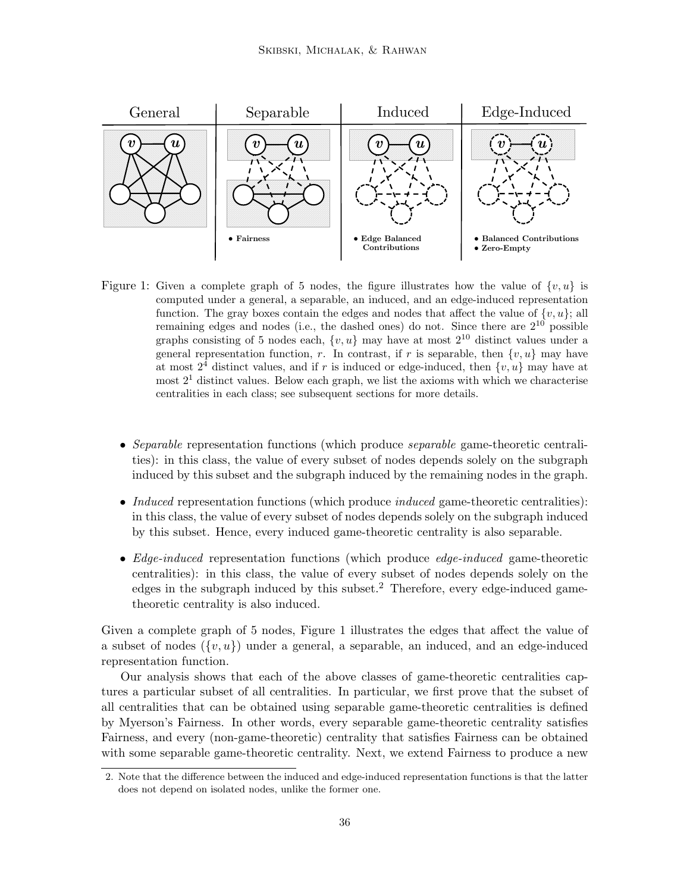

Figure 1: Given a complete graph of 5 nodes, the figure illustrates how the value of  $\{v, u\}$  is computed under a general, a separable, an induced, and an edge-induced representation function. The gray boxes contain the edges and nodes that affect the value of  $\{v, u\}$ ; all remaining edges and nodes (i.e., the dashed ones) do not. Since there are  $2^{10}$  possible graphs consisting of 5 nodes each,  $\{v, u\}$  may have at most  $2^{10}$  distinct values under a general representation function, r. In contrast, if r is separable, then  $\{v, u\}$  may have at most  $2^4$  distinct values, and if r is induced or edge-induced, then  $\{v, u\}$  may have at most  $2<sup>1</sup>$  distinct values. Below each graph, we list the axioms with which we characterise centralities in each class; see subsequent sections for more details.

- Separable representation functions (which produce *separable* game-theoretic centralities): in this class, the value of every subset of nodes depends solely on the subgraph induced by this subset and the subgraph induced by the remaining nodes in the graph.
- *Induced* representation functions (which produce *induced* game-theoretic centralities): in this class, the value of every subset of nodes depends solely on the subgraph induced by this subset. Hence, every induced game-theoretic centrality is also separable.
- Edge-induced representation functions (which produce edge-induced game-theoretic centralities): in this class, the value of every subset of nodes depends solely on the edges in the subgraph induced by this subset. $2$  Therefore, every edge-induced gametheoretic centrality is also induced.

Given a complete graph of 5 nodes, Figure 1 illustrates the edges that affect the value of a subset of nodes  $({v, u})$  under a general, a separable, an induced, and an edge-induced representation function.

Our analysis shows that each of the above classes of game-theoretic centralities captures a particular subset of all centralities. In particular, we first prove that the subset of all centralities that can be obtained using separable game-theoretic centralities is defined by Myerson's Fairness. In other words, every separable game-theoretic centrality satisfies Fairness, and every (non-game-theoretic) centrality that satisfies Fairness can be obtained with some separable game-theoretic centrality. Next, we extend Fairness to produce a new

<sup>2.</sup> Note that the difference between the induced and edge-induced representation functions is that the latter does not depend on isolated nodes, unlike the former one.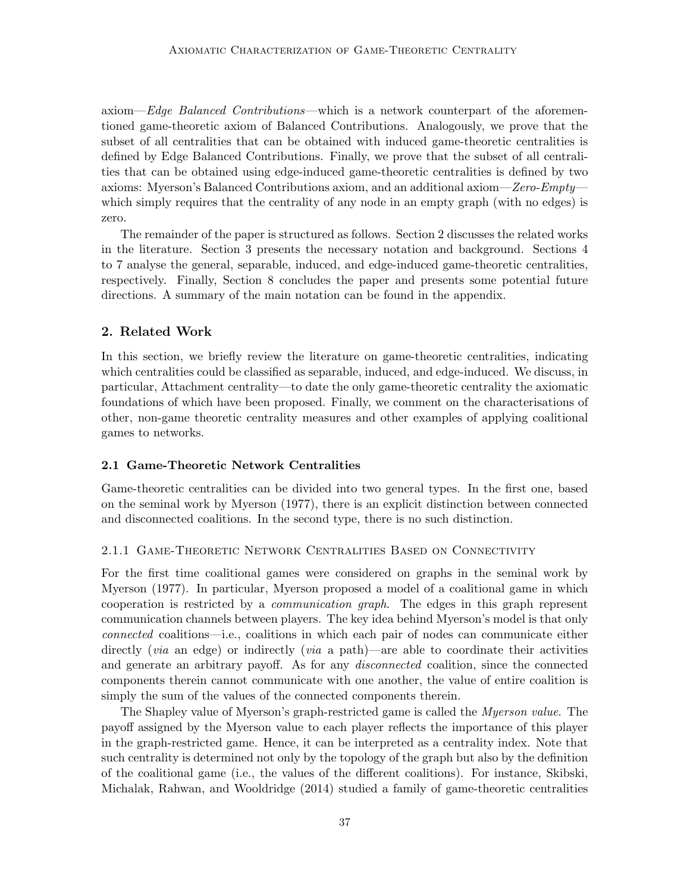axiom—Edge Balanced Contributions—which is a network counterpart of the aforementioned game-theoretic axiom of Balanced Contributions. Analogously, we prove that the subset of all centralities that can be obtained with induced game-theoretic centralities is defined by Edge Balanced Contributions. Finally, we prove that the subset of all centralities that can be obtained using edge-induced game-theoretic centralities is defined by two axioms: Myerson's Balanced Contributions axiom, and an additional axiom—*Zero-Empty* which simply requires that the centrality of any node in an empty graph (with no edges) is zero.

The remainder of the paper is structured as follows. Section 2 discusses the related works in the literature. Section 3 presents the necessary notation and background. Sections 4 to 7 analyse the general, separable, induced, and edge-induced game-theoretic centralities, respectively. Finally, Section 8 concludes the paper and presents some potential future directions. A summary of the main notation can be found in the appendix.

# 2. Related Work

In this section, we briefly review the literature on game-theoretic centralities, indicating which centralities could be classified as separable, induced, and edge-induced. We discuss, in particular, Attachment centrality—to date the only game-theoretic centrality the axiomatic foundations of which have been proposed. Finally, we comment on the characterisations of other, non-game theoretic centrality measures and other examples of applying coalitional games to networks.

# 2.1 Game-Theoretic Network Centralities

Game-theoretic centralities can be divided into two general types. In the first one, based on the seminal work by Myerson (1977), there is an explicit distinction between connected and disconnected coalitions. In the second type, there is no such distinction.

#### 2.1.1 Game-Theoretic Network Centralities Based on Connectivity

For the first time coalitional games were considered on graphs in the seminal work by Myerson (1977). In particular, Myerson proposed a model of a coalitional game in which cooperation is restricted by a communication graph. The edges in this graph represent communication channels between players. The key idea behind Myerson's model is that only connected coalitions—i.e., coalitions in which each pair of nodes can communicate either directly *(via* an edge) or indirectly *(via* a path)—are able to coordinate their activities and generate an arbitrary payoff. As for any disconnected coalition, since the connected components therein cannot communicate with one another, the value of entire coalition is simply the sum of the values of the connected components therein.

The Shapley value of Myerson's graph-restricted game is called the Myerson value. The payoff assigned by the Myerson value to each player reflects the importance of this player in the graph-restricted game. Hence, it can be interpreted as a centrality index. Note that such centrality is determined not only by the topology of the graph but also by the definition of the coalitional game (i.e., the values of the different coalitions). For instance, Skibski, Michalak, Rahwan, and Wooldridge (2014) studied a family of game-theoretic centralities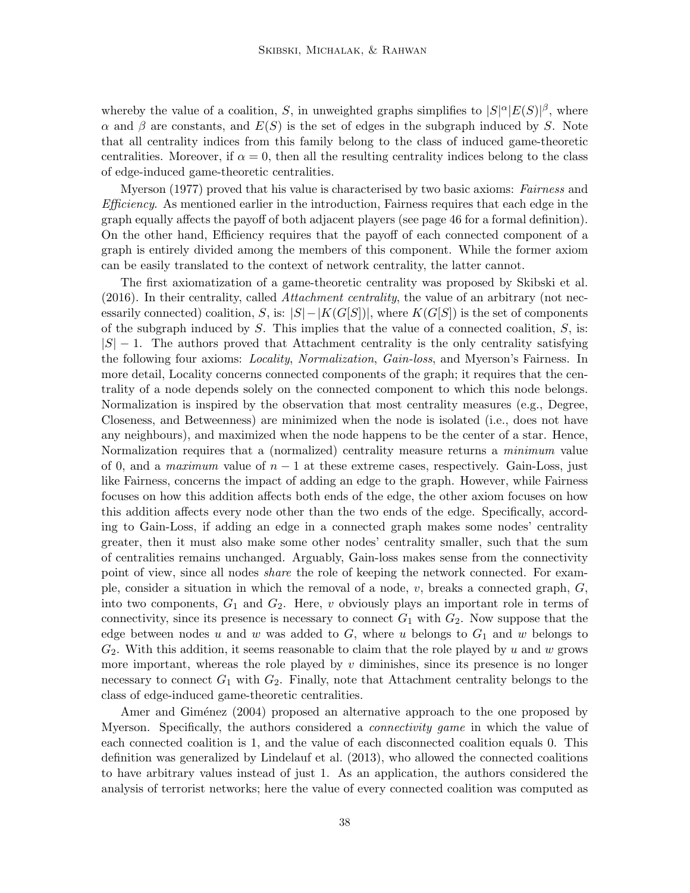whereby the value of a coalition, S, in unweighted graphs simplifies to  $|S|^{\alpha}|E(S)|^{\beta}$ , where  $\alpha$  and  $\beta$  are constants, and  $E(S)$  is the set of edges in the subgraph induced by S. Note that all centrality indices from this family belong to the class of induced game-theoretic centralities. Moreover, if  $\alpha = 0$ , then all the resulting centrality indices belong to the class of edge-induced game-theoretic centralities.

Myerson (1977) proved that his value is characterised by two basic axioms: Fairness and *Efficiency.* As mentioned earlier in the introduction, Fairness requires that each edge in the graph equally affects the payoff of both adjacent players (see page 46 for a formal definition). On the other hand, Efficiency requires that the payoff of each connected component of a graph is entirely divided among the members of this component. While the former axiom can be easily translated to the context of network centrality, the latter cannot.

The first axiomatization of a game-theoretic centrality was proposed by Skibski et al. (2016). In their centrality, called *Attachment centrality*, the value of an arbitrary (not necessarily connected) coalition, S, is:  $|S| - |K(G[S])|$ , where  $K(G[S])$  is the set of components of the subgraph induced by  $S$ . This implies that the value of a connected coalition,  $S$ , is:  $|S| - 1$ . The authors proved that Attachment centrality is the only centrality satisfying the following four axioms: Locality, Normalization, Gain-loss, and Myerson's Fairness. In more detail, Locality concerns connected components of the graph; it requires that the centrality of a node depends solely on the connected component to which this node belongs. Normalization is inspired by the observation that most centrality measures (e.g., Degree, Closeness, and Betweenness) are minimized when the node is isolated (i.e., does not have any neighbours), and maximized when the node happens to be the center of a star. Hence, Normalization requires that a (normalized) centrality measure returns a *minimum* value of 0, and a *maximum* value of  $n-1$  at these extreme cases, respectively. Gain-Loss, just like Fairness, concerns the impact of adding an edge to the graph. However, while Fairness focuses on how this addition affects both ends of the edge, the other axiom focuses on how this addition affects every node other than the two ends of the edge. Specifically, according to Gain-Loss, if adding an edge in a connected graph makes some nodes' centrality greater, then it must also make some other nodes' centrality smaller, such that the sum of centralities remains unchanged. Arguably, Gain-loss makes sense from the connectivity point of view, since all nodes share the role of keeping the network connected. For example, consider a situation in which the removal of a node,  $v$ , breaks a connected graph,  $G$ , into two components,  $G_1$  and  $G_2$ . Here, v obviously plays an important role in terms of connectivity, since its presence is necessary to connect  $G_1$  with  $G_2$ . Now suppose that the edge between nodes u and w was added to  $G$ , where u belongs to  $G_1$  and w belongs to  $G_2$ . With this addition, it seems reasonable to claim that the role played by u and w grows more important, whereas the role played by  $v$  diminishes, since its presence is no longer necessary to connect  $G_1$  with  $G_2$ . Finally, note that Attachment centrality belongs to the class of edge-induced game-theoretic centralities.

Amer and Giménez (2004) proposed an alternative approach to the one proposed by Myerson. Specifically, the authors considered a *connectivity game* in which the value of each connected coalition is 1, and the value of each disconnected coalition equals 0. This definition was generalized by Lindelauf et al. (2013), who allowed the connected coalitions to have arbitrary values instead of just 1. As an application, the authors considered the analysis of terrorist networks; here the value of every connected coalition was computed as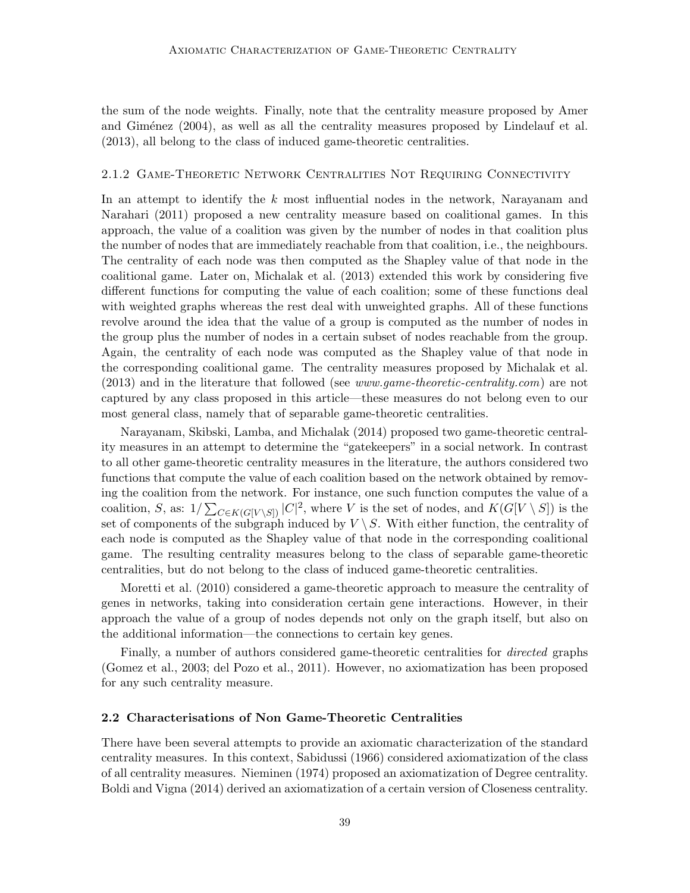the sum of the node weights. Finally, note that the centrality measure proposed by Amer and Giménez  $(2004)$ , as well as all the centrality measures proposed by Lindelauf et al. (2013), all belong to the class of induced game-theoretic centralities.

#### 2.1.2 Game-Theoretic Network Centralities Not Requiring Connectivity

In an attempt to identify the k most influential nodes in the network, Narayanam and Narahari (2011) proposed a new centrality measure based on coalitional games. In this approach, the value of a coalition was given by the number of nodes in that coalition plus the number of nodes that are immediately reachable from that coalition, i.e., the neighbours. The centrality of each node was then computed as the Shapley value of that node in the coalitional game. Later on, Michalak et al. (2013) extended this work by considering five different functions for computing the value of each coalition; some of these functions deal with weighted graphs whereas the rest deal with unweighted graphs. All of these functions revolve around the idea that the value of a group is computed as the number of nodes in the group plus the number of nodes in a certain subset of nodes reachable from the group. Again, the centrality of each node was computed as the Shapley value of that node in the corresponding coalitional game. The centrality measures proposed by Michalak et al. (2013) and in the literature that followed (see www.game-theoretic-centrality.com) are not captured by any class proposed in this article—these measures do not belong even to our most general class, namely that of separable game-theoretic centralities.

Narayanam, Skibski, Lamba, and Michalak (2014) proposed two game-theoretic centrality measures in an attempt to determine the "gatekeepers" in a social network. In contrast to all other game-theoretic centrality measures in the literature, the authors considered two functions that compute the value of each coalition based on the network obtained by removing the coalition from the network. For instance, one such function computes the value of a coalition, S, as:  $1/\sum_{C \in K(G[V \setminus S])} |C|^2$ , where V is the set of nodes, and  $K(G[V \setminus S])$  is the set of components of the subgraph induced by  $V \setminus S$ . With either function, the centrality of each node is computed as the Shapley value of that node in the corresponding coalitional game. The resulting centrality measures belong to the class of separable game-theoretic centralities, but do not belong to the class of induced game-theoretic centralities.

Moretti et al. (2010) considered a game-theoretic approach to measure the centrality of genes in networks, taking into consideration certain gene interactions. However, in their approach the value of a group of nodes depends not only on the graph itself, but also on the additional information—the connections to certain key genes.

Finally, a number of authors considered game-theoretic centralities for *directed* graphs (Gomez et al., 2003; del Pozo et al., 2011). However, no axiomatization has been proposed for any such centrality measure.

#### 2.2 Characterisations of Non Game-Theoretic Centralities

There have been several attempts to provide an axiomatic characterization of the standard centrality measures. In this context, Sabidussi (1966) considered axiomatization of the class of all centrality measures. Nieminen (1974) proposed an axiomatization of Degree centrality. Boldi and Vigna (2014) derived an axiomatization of a certain version of Closeness centrality.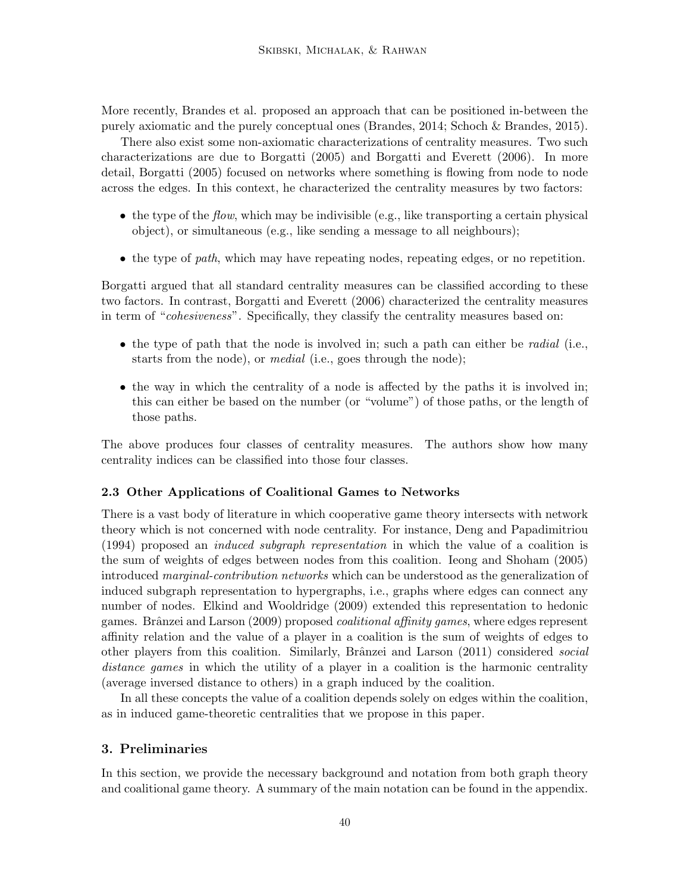More recently, Brandes et al. proposed an approach that can be positioned in-between the purely axiomatic and the purely conceptual ones (Brandes, 2014; Schoch & Brandes, 2015).

There also exist some non-axiomatic characterizations of centrality measures. Two such characterizations are due to Borgatti (2005) and Borgatti and Everett (2006). In more detail, Borgatti (2005) focused on networks where something is flowing from node to node across the edges. In this context, he characterized the centrality measures by two factors:

- the type of the *flow*, which may be indivisible (e.g., like transporting a certain physical object), or simultaneous (e.g., like sending a message to all neighbours);
- the type of *path*, which may have repeating nodes, repeating edges, or no repetition.

Borgatti argued that all standard centrality measures can be classified according to these two factors. In contrast, Borgatti and Everett (2006) characterized the centrality measures in term of "cohesiveness". Specifically, they classify the centrality measures based on:

- the type of path that the node is involved in; such a path can either be *radial* (i.e., starts from the node), or *medial* (i.e., goes through the node);
- the way in which the centrality of a node is affected by the paths it is involved in; this can either be based on the number (or "volume") of those paths, or the length of those paths.

The above produces four classes of centrality measures. The authors show how many centrality indices can be classified into those four classes.

# 2.3 Other Applications of Coalitional Games to Networks

There is a vast body of literature in which cooperative game theory intersects with network theory which is not concerned with node centrality. For instance, Deng and Papadimitriou (1994) proposed an induced subgraph representation in which the value of a coalition is the sum of weights of edges between nodes from this coalition. Ieong and Shoham (2005) introduced marginal-contribution networks which can be understood as the generalization of induced subgraph representation to hypergraphs, i.e., graphs where edges can connect any number of nodes. Elkind and Wooldridge (2009) extended this representation to hedonic games. Brânzei and Larson  $(2009)$  proposed *coalitional affinity games*, where edges represent affinity relation and the value of a player in a coalition is the sum of weights of edges to other players from this coalition. Similarly, Brânzei and Larson (2011) considered *social* distance games in which the utility of a player in a coalition is the harmonic centrality (average inversed distance to others) in a graph induced by the coalition.

In all these concepts the value of a coalition depends solely on edges within the coalition, as in induced game-theoretic centralities that we propose in this paper.

# 3. Preliminaries

In this section, we provide the necessary background and notation from both graph theory and coalitional game theory. A summary of the main notation can be found in the appendix.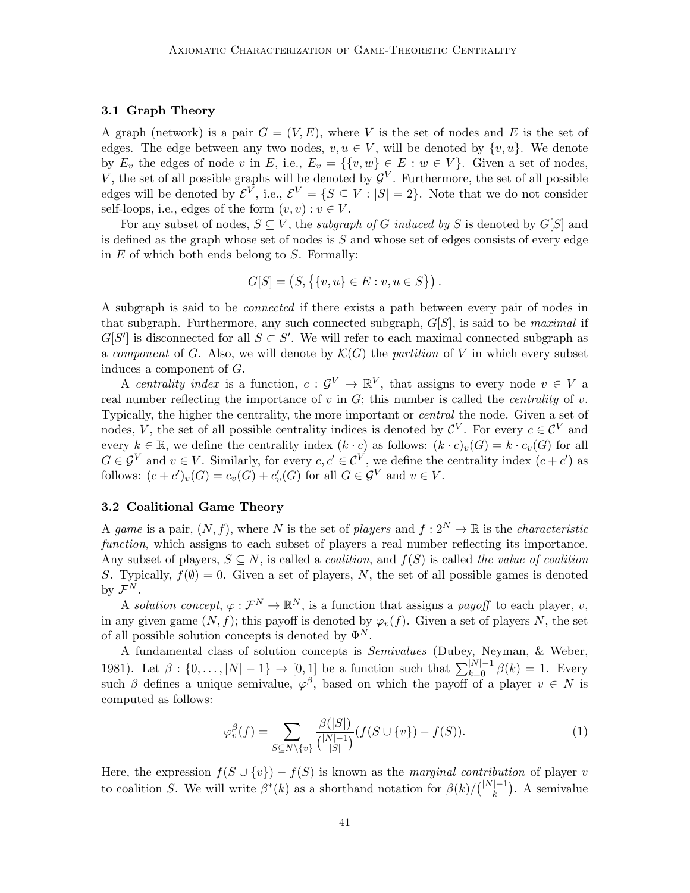### 3.1 Graph Theory

A graph (network) is a pair  $G = (V, E)$ , where V is the set of nodes and E is the set of edges. The edge between any two nodes,  $v, u \in V$ , will be denoted by  $\{v, u\}$ . We denote by  $E_v$  the edges of node v in E, i.e.,  $E_v = \{\{v, w\} \in E : w \in V\}$ . Given a set of nodes, V, the set of all possible graphs will be denoted by  $\mathcal{G}^V$ . Furthermore, the set of all possible edges will be denoted by  $\mathcal{E}^V$ , i.e.,  $\mathcal{E}^V = \{ S \subseteq V : |S| = 2 \}$ . Note that we do not consider self-loops, i.e., edges of the form  $(v, v) : v \in V$ .

For any subset of nodes,  $S \subseteq V$ , the *subgraph of G induced by S* is denoted by  $G[S]$  and is defined as the graph whose set of nodes is  $S$  and whose set of edges consists of every edge in  $E$  of which both ends belong to  $S$ . Formally:

$$
G[S] = (S, \{ \{v, u\} \in E : v, u \in S \} ).
$$

A subgraph is said to be connected if there exists a path between every pair of nodes in that subgraph. Furthermore, any such connected subgraph,  $G[S]$ , is said to be *maximal* if  $G[S']$  is disconnected for all  $S \subset S'$ . We will refer to each maximal connected subgraph as a component of G. Also, we will denote by  $\mathcal{K}(G)$  the partition of V in which every subset induces a component of G.

A centrality index is a function,  $c: \mathcal{G}^V \to \mathbb{R}^V$ , that assigns to every node  $v \in V$  a real number reflecting the importance of  $v$  in  $G$ ; this number is called the *centrality* of  $v$ . Typically, the higher the centrality, the more important or central the node. Given a set of nodes, V, the set of all possible centrality indices is denoted by  $\mathcal{C}^V$ . For every  $c \in \mathcal{C}^V$  and every  $k \in \mathbb{R}$ , we define the centrality index  $(k \cdot c)$  as follows:  $(k \cdot c)_v(G) = k \cdot c_v(G)$  for all  $G \in \mathcal{G}^V$  and  $v \in V$ . Similarly, for every  $c, c' \in \mathcal{C}^V$ , we define the centrality index  $(c + c')$  as follows:  $(c + c')<sub>v</sub>(G) = c<sub>v</sub>(G) + c'<sub>v</sub>(G)$  for all  $G \in \mathcal{G}^V$  and  $v \in V$ .

# 3.2 Coalitional Game Theory

A game is a pair,  $(N, f)$ , where N is the set of players and  $f: 2^N \to \mathbb{R}$  is the characteristic function, which assigns to each subset of players a real number reflecting its importance. Any subset of players,  $S \subseteq N$ , is called a *coalition*, and  $f(S)$  is called the value of coalition S. Typically,  $f(\emptyset) = 0$ . Given a set of players, N, the set of all possible games is denoted by  $\mathcal{F}^N$ .

A solution concept,  $\varphi : \mathcal{F}^N \to \mathbb{R}^N$ , is a function that assigns a payoff to each player, v, in any given game  $(N, f)$ ; this payoff is denoted by  $\varphi_v(f)$ . Given a set of players N, the set of all possible solution concepts is denoted by  $\Phi^N$ .

A fundamental class of solution concepts is Semivalues (Dubey, Neyman, & Weber, 1981). Let  $\beta: \{0, ..., |N|-1\} \to [0, 1]$  be a function such that  $\sum_{k=0}^{|N|-1} \beta(k) = 1$ . Every such  $\beta$  defines a unique semivalue,  $\varphi^{\beta}$ , based on which the payoff of a player  $v \in N$  is computed as follows:

$$
\varphi_v^{\beta}(f) = \sum_{S \subseteq N \setminus \{v\}} \frac{\beta(|S|)}{\binom{|N|-1}{|S|}} (f(S \cup \{v\}) - f(S)). \tag{1}
$$

Here, the expression  $f(S \cup \{v\}) - f(S)$  is known as the *marginal contribution* of player v to coalition S. We will write  $\beta^*(k)$  as a shorthand notation for  $\beta(k)/\binom{|N|-1}{k}$  $\binom{[-1]}{k}$ . A semivalue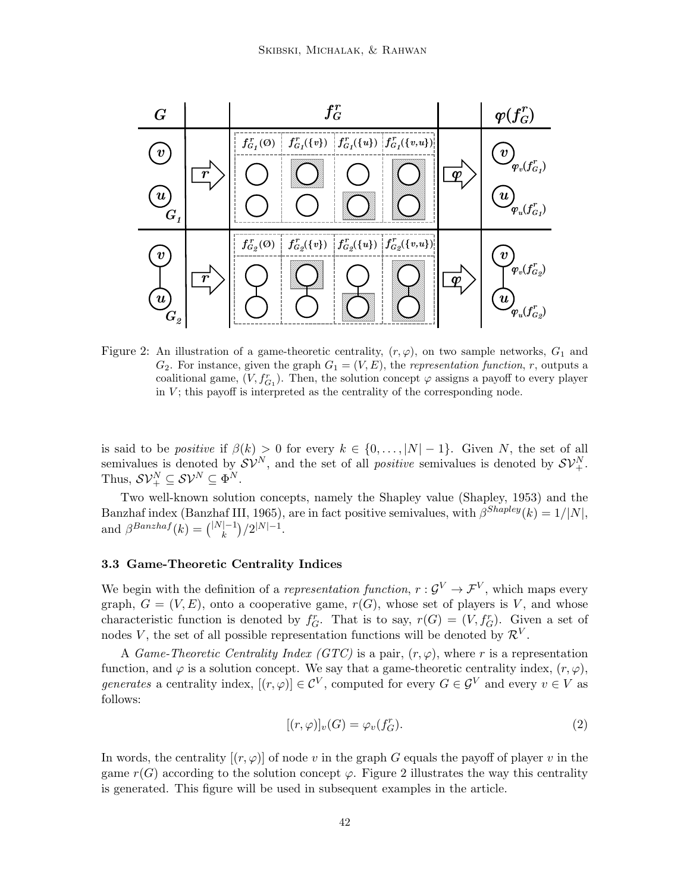

Figure 2: An illustration of a game-theoretic centrality,  $(r, \varphi)$ , on two sample networks,  $G_1$  and  $G_2$ . For instance, given the graph  $G_1 = (V, E)$ , the *representation function*, r, outputs a coalitional game,  $(V, f_{G_1}^r)$ . Then, the solution concept  $\varphi$  assigns a payoff to every player in  $V$ ; this payoff is interpreted as the centrality of the corresponding node.

is said to be *positive* if  $\beta(k) > 0$  for every  $k \in \{0, \ldots, |N|-1\}$ . Given N, the set of all semivalues is denoted by  $S\mathcal{V}^N$ , and the set of all *positive* semivalues is denoted by  $S\mathcal{V}^N_+$ . Thus,  $S V_+^N \subseteq S V^N \subseteq \Phi^N$ .

Two well-known solution concepts, namely the Shapley value (Shapley, 1953) and the Banzhaf index (Banzhaf III, 1965), are in fact positive semivalues, with  $\beta^{Shapley}(k) = 1/|N|$ , and  $\beta^{Banzhaf}(k) = {|\mathcal{N}| - 1 \choose k}$  ${k-1 \choose k}/2^{|N|-1}.$ 

## 3.3 Game-Theoretic Centrality Indices

We begin with the definition of a *representation function*,  $r: \mathcal{G}^V \to \mathcal{F}^V$ , which maps every graph,  $G = (V, E)$ , onto a cooperative game,  $r(G)$ , whose set of players is V, and whose characteristic function is denoted by  $f_G^r$ . That is to say,  $r(G) = (V, f_G^r)$ . Given a set of nodes V, the set of all possible representation functions will be denoted by  $\mathcal{R}^V$ .

A Game-Theoretic Centrality Index (GTC) is a pair,  $(r, \varphi)$ , where r is a representation function, and  $\varphi$  is a solution concept. We say that a game-theoretic centrality index,  $(r, \varphi)$ , generates a centrality index,  $[(r, \varphi)] \in \mathcal{C}^V$ , computed for every  $G \in \mathcal{G}^V$  and every  $v \in V$  as follows:

$$
[(r,\varphi)]_v(G) = \varphi_v(f_G^r). \tag{2}
$$

In words, the centrality  $[(r, \varphi)]$  of node v in the graph G equals the payoff of player v in the game  $r(G)$  according to the solution concept  $\varphi$ . Figure 2 illustrates the way this centrality is generated. This figure will be used in subsequent examples in the article.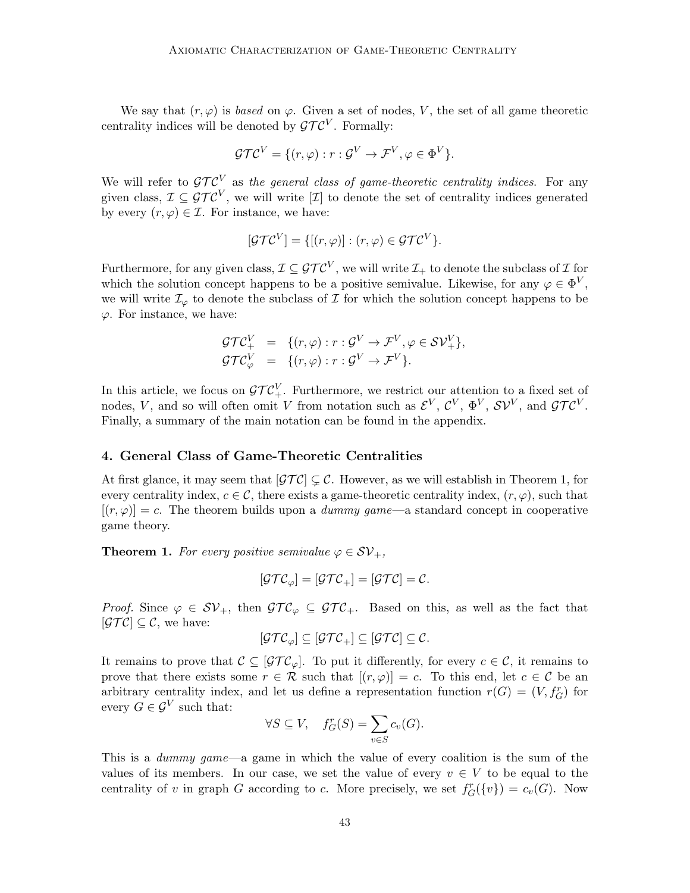We say that  $(r, \varphi)$  is *based* on  $\varphi$ . Given a set of nodes, V, the set of all game theoretic centrality indices will be denoted by  $\mathcal{GTC}^V$ . Formally:

$$
\mathcal{GTC}^V = \{ (r, \varphi) : r : \mathcal{G}^V \to \mathcal{F}^V, \varphi \in \Phi^V \}.
$$

We will refer to  $\mathcal{GTC}^V$  as the general class of game-theoretic centrality indices. For any given class,  $\mathcal{I} \subseteq \mathcal{GTC}^V$ , we will write  $[\mathcal{I}]$  to denote the set of centrality indices generated by every  $(r, \varphi) \in \mathcal{I}$ . For instance, we have:

$$
[\mathcal{GTC}^V] = \{[(r,\varphi)] : (r,\varphi) \in \mathcal{GTC}^V\}.
$$

Furthermore, for any given class,  $\mathcal{I} \subseteq \mathcal{GTC}^V$ , we will write  $\mathcal{I}_+$  to denote the subclass of  $\mathcal I$  for which the solution concept happens to be a positive semivalue. Likewise, for any  $\varphi \in \Phi^V$ , we will write  $\mathcal{I}_{\varphi}$  to denote the subclass of  $\mathcal I$  for which the solution concept happens to be  $\varphi$ . For instance, we have:

$$
\begin{array}{rcl}\n\mathcal{G}\mathcal{T}\mathcal{C}_{+}^{V} & = & \{ (r,\varphi) : r : \mathcal{G}^{V} \to \mathcal{F}^{V}, \varphi \in \mathcal{S}\mathcal{V}_{+}^{V} \}, \\
\mathcal{G}\mathcal{T}\mathcal{C}_{\varphi}^{V} & = & \{ (r,\varphi) : r : \mathcal{G}^{V} \to \mathcal{F}^{V} \}.\n\end{array}
$$

In this article, we focus on  $\mathcal{GTC}_{+}^V$ . Furthermore, we restrict our attention to a fixed set of nodes, V, and so will often omit V from notation such as  $\mathcal{E}^V$ ,  $\mathcal{C}^V$ ,  $\Phi^V$ ,  $\mathcal{SV}^V$ , and  $\mathcal{GTC}^V$ . Finally, a summary of the main notation can be found in the appendix.

## 4. General Class of Game-Theoretic Centralities

At first glance, it may seem that  $[\mathcal{GTC}] \subsetneq \mathcal{C}$ . However, as we will establish in Theorem 1, for every centrality index,  $c \in \mathcal{C}$ , there exists a game-theoretic centrality index,  $(r, \varphi)$ , such that  $[(r, \varphi)] = c$ . The theorem builds upon a *dummy game*—a standard concept in cooperative game theory.

**Theorem 1.** For every positive semivalue  $\varphi \in \mathcal{SV}_+,$ 

$$
[\mathcal{GTC}_{\varphi}] = [\mathcal{GTC}_{+}] = [\mathcal{GTC}] = \mathcal{C}.
$$

*Proof.* Since  $\varphi \in SV_+$ , then  $\mathcal{GTC}_\varphi \subseteq \mathcal{GTC}_+$ . Based on this, as well as the fact that  $[\mathcal{GTC}] \subseteq \mathcal{C}$ , we have:

$$
[\mathcal{GTC}_{\varphi}]\subseteq[\mathcal{GTC}_{+}]\subseteq[\mathcal{GTC}]\subseteq\mathcal{C}.
$$

It remains to prove that  $\mathcal{C} \subseteq [\mathcal{GTC}_{\varphi}]$ . To put it differently, for every  $c \in \mathcal{C}$ , it remains to prove that there exists some  $r \in \mathcal{R}$  such that  $[(r, \varphi)] = c$ . To this end, let  $c \in \mathcal{C}$  be an arbitrary centrality index, and let us define a representation function  $r(G) = (V, f<sub>G</sub>)$  for every  $G \in \mathcal{G}^V$  such that:

$$
\forall S \subseteq V, \quad f_G^r(S) = \sum_{v \in S} c_v(G).
$$

This is a dummy game—a game in which the value of every coalition is the sum of the values of its members. In our case, we set the value of every  $v \in V$  to be equal to the centrality of v in graph G according to c. More precisely, we set  $f_G^r({v}) = c_v(G)$ . Now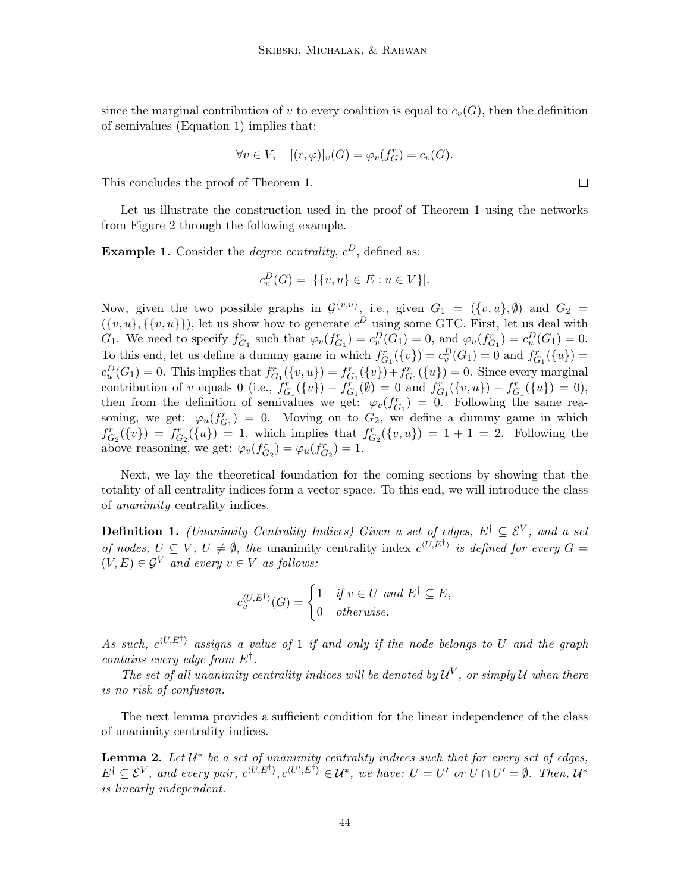since the marginal contribution of v to every coalition is equal to  $c_v(G)$ , then the definition of semivalues (Equation 1) implies that:

$$
\forall v \in V, \quad [(r,\varphi)]_v(G) = \varphi_v(f_G^r) = c_v(G).
$$

This concludes the proof of Theorem 1.

Let us illustrate the construction used in the proof of Theorem 1 using the networks from Figure 2 through the following example.

**Example 1.** Consider the *degree centrality*,  $c^D$ , defined as:

$$
c_v^D(G) = |\{\{v, u\} \in E : u \in V\}|.
$$

Now, given the two possible graphs in  $\mathcal{G}^{\{v,u\}}$ , i.e., given  $G_1 = (\{v,u\}, \emptyset)$  and  $G_2 =$  $({v, u}, {v, u})$ ,  $({v, u})$ , let us show how to generate  $c^D$  using some GTC. First, let us deal with  $G_1$ . We need to specify  $f_{G_1}^r$  such that  $\varphi_v(f_{G_1}^r) = c_v^D(G_1) = 0$ , and  $\varphi_u(f_{G_1}^r) = c_u^D(G_1) = 0$ . To this end, let us define a dummy game in which  $f_{G_1}^r(\{v\}) = c_v^D(G_1) = 0$  and  $f_{G_1}^r(\{u\}) =$  $c_u^D(G_1) = 0$ . This implies that  $f_{G_1}^r(\{v, u\}) = f_{G_1}^r(\{v\}) + f_{G_1}^r(\{u\}) = 0$ . Since every marginal contribution of v equals 0 (i.e.,  $f_{G_1}^r(\{v\}) - f_{G_1}^r(\emptyset) = 0$  and  $f_{G_1}^r(\{v, u\}) - f_{G_1}^r(\{u\}) = 0$ ), then from the definition of semivalues we get:  $\varphi_v(f_{G_1}^r) = 0$ . Following the same reasoning, we get:  $\varphi_u(f_{G_1}^r) = 0$ . Moving on to  $G_2$ , we define a dummy game in which  $f_{G_2}^r(\{v\}) = f_{G_2}^r(\{u\}) = 1$ , which implies that  $f_{G_2}^r(\{v, u\}) = 1 + 1 = 2$ . Following the above reasoning, we get:  $\varphi_v(f_{G_2}^r) = \varphi_u(f_{G_2}^r) = 1$ .

Next, we lay the theoretical foundation for the coming sections by showing that the totality of all centrality indices form a vector space. To this end, we will introduce the class of unanimity centrality indices.

**Definition 1.** (Unanimity Centrality Indices) Given a set of edges,  $E^{\dagger} \subseteq \mathcal{E}^V$ , and a set of nodes,  $U \subseteq V$ ,  $U \neq \emptyset$ , the unanimity centrality index  $c^{\langle U, E^{\dagger} \rangle}$  is defined for every  $G =$  $(V, E) \in \mathcal{G}^V$  and every  $v \in V$  as follows:

$$
c_v^{\langle U, E^{\dagger} \rangle}(G) = \begin{cases} 1 & \text{if } v \in U \text{ and } E^{\dagger} \subseteq E, \\ 0 & \text{otherwise.} \end{cases}
$$

As such,  $c^{(U,E^{\dagger})}$  assigns a value of 1 if and only if the node belongs to U and the graph contains every edge from  $E^{\dagger}$ .

The set of all unanimity centrality indices will be denoted by  $\mathcal{U}^V$ , or simply  $\mathcal U$  when there is no risk of confusion.

The next lemma provides a sufficient condition for the linear independence of the class of unanimity centrality indices.

**Lemma 2.** Let  $U^*$  be a set of unanimity centrality indices such that for every set of edges,  $E^{\dagger} \subseteq \mathcal{E}^V$ , and every pair,  $c^{\langle U, E^{\dagger} \rangle}, c^{\langle U', E^{\dagger} \rangle} \in \mathcal{U}^*$ , we have:  $U = U'$  or  $U \cap U' = \emptyset$ . Then,  $\mathcal{U}^*$ is linearly independent.

 $\Box$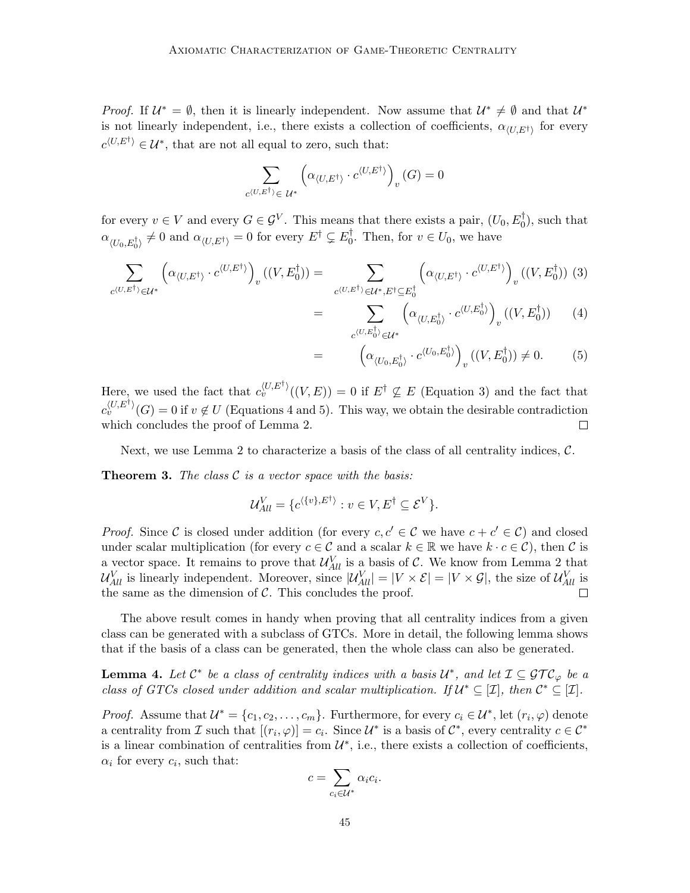*Proof.* If  $U^* = \emptyset$ , then it is linearly independent. Now assume that  $U^* \neq \emptyset$  and that  $U^*$ is not linearly independent, i.e., there exists a collection of coefficients,  $\alpha_{(U,E^{\dagger})}$  for every  $c^{\langle U, E^{\dagger} \rangle} \in \mathcal{U}^*$ , that are not all equal to zero, such that:

$$
\sum_{c^{\langle U, E^{\dagger} \rangle} \in \ \mathcal{U}^*} \left( \alpha_{\langle U, E^{\dagger} \rangle} \cdot c^{\langle U, E^{\dagger} \rangle} \right)_v(G) = 0
$$

for every  $v \in V$  and every  $G \in \mathcal{G}^V$ . This means that there exists a pair,  $(U_0, E_0^{\dagger})$ , such that  $\alpha_{\langle U_0, E_0^{\dagger}\rangle} \neq 0$  and  $\alpha_{\langle U, E^{\dagger}\rangle} = 0$  for every  $E^{\dagger} \subsetneq E_0^{\dagger}$  $\overline{0}$ . Then, for  $v \in U_0$ , we have

$$
\sum_{c^{(U,E^{\dagger})} \in \mathcal{U}^*} \left( \alpha_{\langle U,E^{\dagger} \rangle} \cdot c^{\langle U,E^{\dagger} \rangle} \right)_v ((V,E_0^{\dagger})) = \sum_{c^{(U,E^{\dagger})} \in \mathcal{U}^*, E^{\dagger} \subseteq E_0^{\dagger}} \left( \alpha_{\langle U,E^{\dagger} \rangle} \cdot c^{\langle U,E^{\dagger} \rangle} \right)_v ((V,E_0^{\dagger})) \tag{3}
$$
\n
$$
= \sum_{c^{(U,E^{\dagger})} \in \mathcal{U}^*, E^{\dagger} \subseteq E_0^{\dagger}} \left( \alpha_{\langle U,E^{\dagger} \rangle} \cdot c^{\langle U,E^{\dagger} \rangle} \right)_v ((V,E_0^{\dagger})) \tag{4}
$$

$$
\sum_{c^{(U,E_0^{\dagger})} \in \mathcal{U}^*} \left( \alpha_{\langle U,E_0^{\dagger} \rangle} \cdot c^{\langle U,E_0^{\dagger} \rangle} \right)_v ((V,E_0^{\dagger})) \qquad (4)
$$

$$
= \left(\alpha_{\langle U_0, E_0^{\dagger}\rangle} \cdot c^{\langle U_0, E_0^{\dagger}\rangle}\right)_v ((V, E_0^{\dagger})) \neq 0. \tag{5}
$$

Here, we used the fact that  $c_v^{\langle U, E^{\dagger} \rangle}((V, E)) = 0$  if  $E^{\dagger} \nsubseteq E$  (Equation 3) and the fact that  $c_v^{\langle U, E^{\dagger} \rangle}(G) = 0$  if  $v \notin U$  (Equations 4 and 5). This way, we obtain the desirable contradiction which concludes the proof of Lemma 2.  $\Box$ 

Next, we use Lemma 2 to characterize a basis of the class of all centrality indices,  $\mathcal{C}$ .

**Theorem 3.** The class  $\mathcal{C}$  is a vector space with the basis:

$$
\mathcal{U}_{All}^V = \{c^{\langle \{v\}, E^{\dagger} \rangle} : v \in V, E^{\dagger} \subseteq \mathcal{E}^V \}.
$$

*Proof.* Since C is closed under addition (for every  $c, c' \in \mathcal{C}$  we have  $c + c' \in \mathcal{C}$ ) and closed under scalar multiplication (for every  $c \in \mathcal{C}$  and a scalar  $k \in \mathbb{R}$  we have  $k \cdot c \in \mathcal{C}$ ), then  $\mathcal{C}$  is a vector space. It remains to prove that  $\mathcal{U}_{All}^V$  is a basis of C. We know from Lemma 2 that  $\mathcal{U}_{All}^V$  is linearly independent. Moreover, since  $|\mathcal{U}_{All}^V| = |V \times \mathcal{E}| = |V \times \mathcal{G}|$ , the size of  $\mathcal{U}_{All}^V$  is the same as the dimension of  $\mathcal{C}$ . This concludes the proof.  $\Box$ 

The above result comes in handy when proving that all centrality indices from a given class can be generated with a subclass of GTCs. More in detail, the following lemma shows that if the basis of a class can be generated, then the whole class can also be generated.

**Lemma 4.** Let  $\mathcal{C}^*$  be a class of centrality indices with a basis  $\mathcal{U}^*$ , and let  $\mathcal{I} \subseteq \mathcal{GTC}_{\varphi}$  be a class of GTCs closed under addition and scalar multiplication. If  $\mathcal{U}^* \subseteq [\mathcal{I}]$ , then  $\mathcal{C}^* \subseteq [\mathcal{I}]$ .

*Proof.* Assume that  $\mathcal{U}^* = \{c_1, c_2, \ldots, c_m\}$ . Furthermore, for every  $c_i \in \mathcal{U}^*$ , let  $(r_i, \varphi)$  denote a centrality from  $\mathcal I$  such that  $[(r_i, \varphi)] = c_i$ . Since  $\mathcal U^*$  is a basis of  $\mathcal C^*$ , every centrality  $c \in \mathcal C^*$ is a linear combination of centralities from  $\mathcal{U}^*$ , i.e., there exists a collection of coefficients,  $\alpha_i$  for every  $c_i$ , such that:

$$
c = \sum_{c_i \in \mathcal{U}^*} \alpha_i c_i.
$$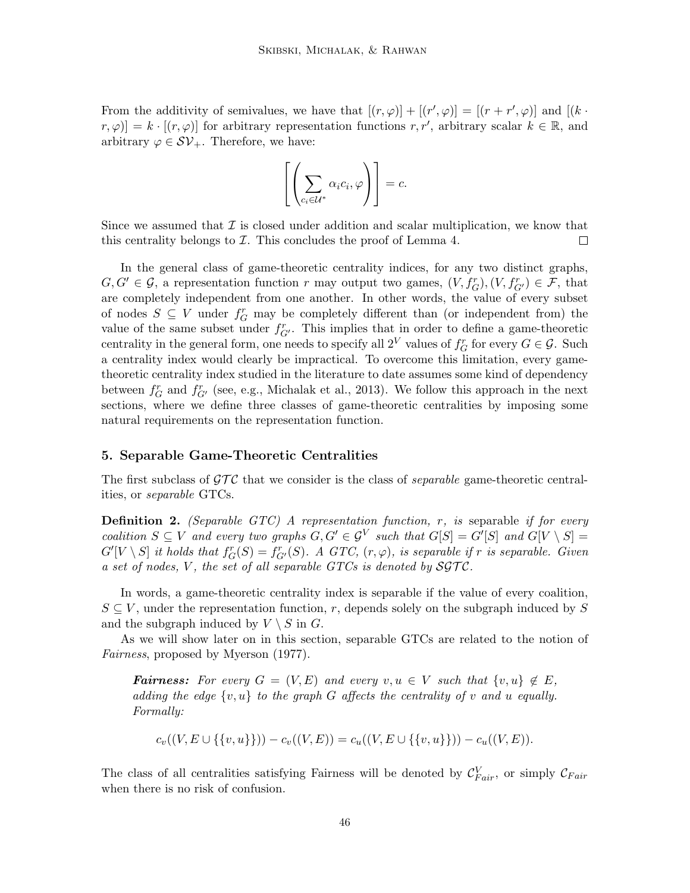From the additivity of semivalues, we have that  $[(r, \varphi)] + [(r', \varphi)] = [(r + r', \varphi)]$  and  $[(k \cdot$  $[r, \varphi] = k \cdot [(r, \varphi)]$  for arbitrary representation functions  $r, r'$ , arbitrary scalar  $k \in \mathbb{R}$ , and arbitrary  $\varphi \in \mathcal{SV}_+$ . Therefore, we have:

$$
\left[\left(\sum_{c_i \in \mathcal{U}^*} \alpha_i c_i, \varphi\right)\right] = c.
$$

Since we assumed that  $\mathcal I$  is closed under addition and scalar multiplication, we know that this centrality belongs to  $\mathcal I$ . This concludes the proof of Lemma 4.  $\Box$ 

In the general class of game-theoretic centrality indices, for any two distinct graphs,  $G, G' \in \mathcal{G}$ , a representation function r may output two games,  $(V, f_G^r), (V, f_{G'}^r) \in \mathcal{F}$ , that are completely independent from one another. In other words, the value of every subset of nodes  $S \subseteq V$  under  $f_G^r$  may be completely different than (or independent from) the value of the same subset under  $f_{G'}^r$ . This implies that in order to define a game-theoretic centrality in the general form, one needs to specify all  $2^V$  values of  $f_G^r$  for every  $G \in \mathcal{G}$ . Such a centrality index would clearly be impractical. To overcome this limitation, every gametheoretic centrality index studied in the literature to date assumes some kind of dependency between  $f_G^r$  and  $f_{G'}^r$  (see, e.g., Michalak et al., 2013). We follow this approach in the next sections, where we define three classes of game-theoretic centralities by imposing some natural requirements on the representation function.

## 5. Separable Game-Theoretic Centralities

The first subclass of  $\mathcal{GTC}$  that we consider is the class of *separable* game-theoretic centralities, or separable GTCs.

**Definition 2.** (Separable GTC) A representation function,  $r$ , is separable if for every coalition  $S \subseteq V$  and every two graphs  $G, G' \in \mathcal{G}^V$  such that  $G[S] = G'[S]$  and  $G[V \setminus S] =$  $G'[V \setminus S]$  it holds that  $f_G^r(S) = f_{G'}^r(S)$ . A GTC,  $(r, \varphi)$ , is separable if r is separable. Given a set of nodes, V, the set of all separable  $GTCs$  is denoted by  $SGTC$ .

In words, a game-theoretic centrality index is separable if the value of every coalition,  $S \subseteq V$ , under the representation function, r, depends solely on the subgraph induced by S and the subgraph induced by  $V \setminus S$  in G.

As we will show later on in this section, separable GTCs are related to the notion of Fairness, proposed by Myerson (1977).

**Fairness:** For every  $G = (V, E)$  and every  $v, u \in V$  such that  $\{v, u\} \notin E$ , adding the edge  $\{v, u\}$  to the graph G affects the centrality of v and u equally. Formally:

$$
c_v((V, E \cup \{\{v, u\}\})) - c_v((V, E)) = c_u((V, E \cup \{\{v, u\}\})) - c_u((V, E)).
$$

The class of all centralities satisfying Fairness will be denoted by  $\mathcal{C}_{Fair}^V$ , or simply  $\mathcal{C}_{Fair}$ when there is no risk of confusion.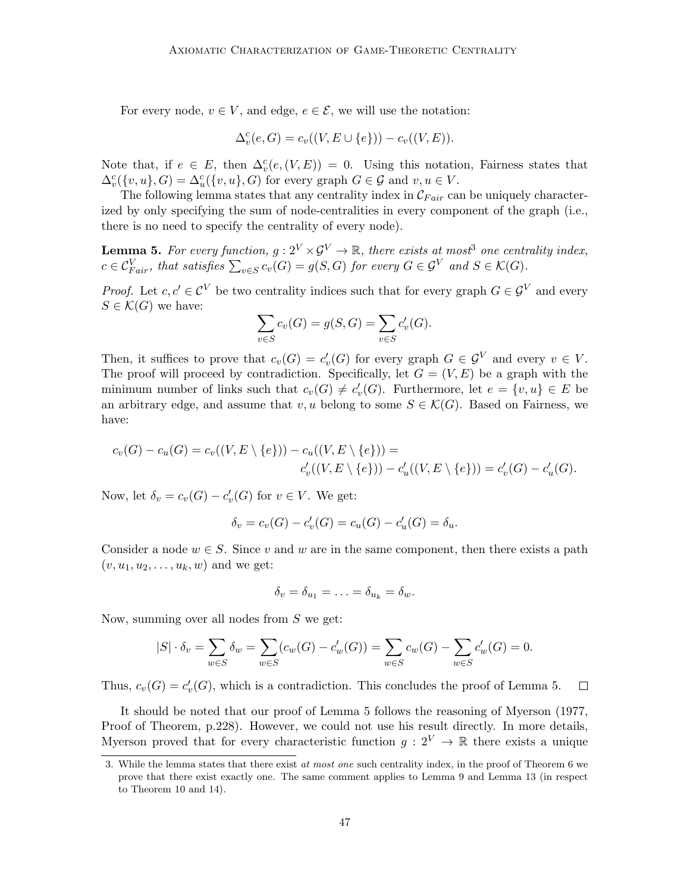For every node,  $v \in V$ , and edge,  $e \in \mathcal{E}$ , we will use the notation:

$$
\Delta_v^c(e, G) = c_v((V, E \cup \{e\})) - c_v((V, E)).
$$

Note that, if  $e \in E$ , then  $\Delta_v^c(e, (V, E)) = 0$ . Using this notation, Fairness states that  $\Delta_v^c({v, u}, G) = \Delta_u^c({v, u}, G)$  for every graph  $G \in \mathcal{G}$  and  $v, u \in V$ .

The following lemma states that any centrality index in  $\mathcal{C}_{Fair}$  can be uniquely characterized by only specifying the sum of node-centralities in every component of the graph (i.e., there is no need to specify the centrality of every node).

**Lemma 5.** For every function,  $g: 2^V \times \mathcal{G}^V \to \mathbb{R}$ , there exists at most<sup>3</sup> one centrality index,  $c \in \mathcal{C}_{Fair}^V$ , that satisfies  $\sum_{v \in S} c_v(G) = g(S, G)$  for every  $G \in \mathcal{G}^V$  and  $S \in \mathcal{K}(G)$ .

*Proof.* Let  $c, c' \in \mathcal{C}^V$  be two centrality indices such that for every graph  $G \in \mathcal{G}^V$  and every  $S \in \mathcal{K}(G)$  we have:

$$
\sum_{v \in S} c_v(G) = g(S, G) = \sum_{v \in S} c'_v(G).
$$

Then, it suffices to prove that  $c_v(G) = c'_v(G)$  for every graph  $G \in \mathcal{G}^V$  and every  $v \in V$ . The proof will proceed by contradiction. Specifically, let  $G = (V, E)$  be a graph with the minimum number of links such that  $c_v(G) \neq c'_v(G)$ . Furthermore, let  $e = \{v, u\} \in E$  be an arbitrary edge, and assume that v, u belong to some  $S \in \mathcal{K}(G)$ . Based on Fairness, we have:

$$
c_v(G) - c_u(G) = c_v((V, E \setminus \{e\})) - c_u((V, E \setminus \{e\})) =
$$
  

$$
c'_v((V, E \setminus \{e\})) - c'_u((V, E \setminus \{e\})) = c'_v(G) - c'_u(G).
$$

Now, let  $\delta_v = c_v(G) - c'_v(G)$  for  $v \in V$ . We get:

$$
\delta_v = c_v(G) - c'_v(G) = c_u(G) - c'_u(G) = \delta_u.
$$

Consider a node  $w \in S$ . Since v and w are in the same component, then there exists a path  $(v, u_1, u_2, \ldots, u_k, w)$  and we get:

$$
\delta_v = \delta_{u_1} = \ldots = \delta_{u_k} = \delta_w.
$$

Now, summing over all nodes from S we get:

$$
|S| \cdot \delta_v = \sum_{w \in S} \delta_w = \sum_{w \in S} (c_w(G) - c'_w(G)) = \sum_{w \in S} c_w(G) - \sum_{w \in S} c'_w(G) = 0.
$$

Thus,  $c_v(G) = c'_v(G)$ , which is a contradiction. This concludes the proof of Lemma 5.  $\Box$ 

It should be noted that our proof of Lemma 5 follows the reasoning of Myerson (1977, Proof of Theorem, p.228). However, we could not use his result directly. In more details, Myerson proved that for every characteristic function  $g: 2^V \to \mathbb{R}$  there exists a unique

<sup>3.</sup> While the lemma states that there exist at most one such centrality index, in the proof of Theorem 6 we prove that there exist exactly one. The same comment applies to Lemma 9 and Lemma 13 (in respect to Theorem 10 and 14).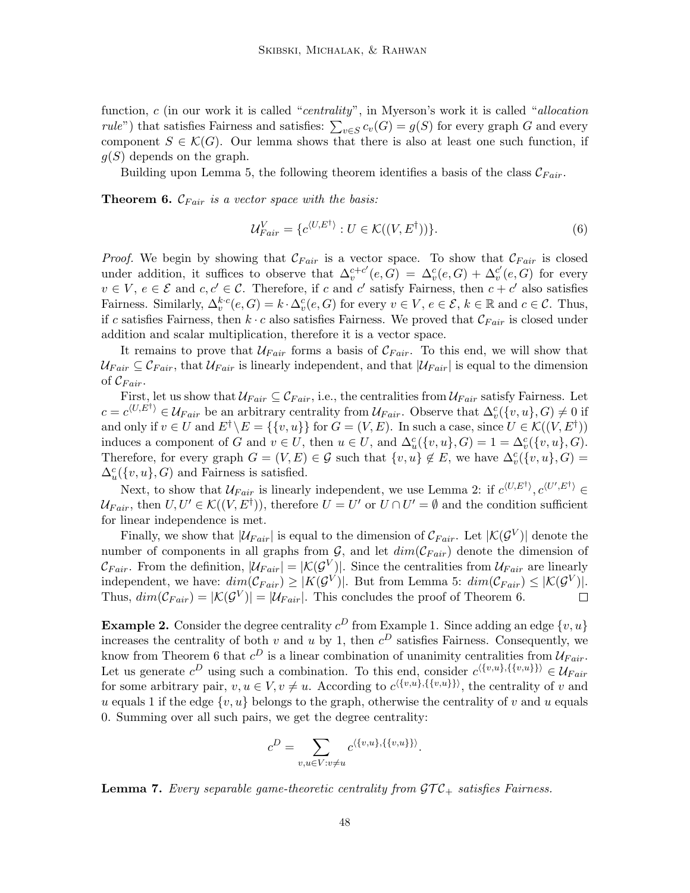function, c (in our work it is called "centrality", in Myerson's work it is called "allocation *rule*") that satisfies Fairness and satisfies:  $\sum_{v \in S} c_v(G) = g(S)$  for every graph G and every component  $S \in \mathcal{K}(G)$ . Our lemma shows that there is also at least one such function, if  $q(S)$  depends on the graph.

Building upon Lemma 5, the following theorem identifies a basis of the class  $\mathcal{C}_{Fair}$ .

**Theorem 6.**  $\mathcal{C}_{Fair}$  is a vector space with the basis:

$$
\mathcal{U}_{Fair}^V = \{ c^{\langle U, E^\dagger \rangle} : U \in \mathcal{K}((V, E^\dagger)) \}.
$$
\n
$$
(6)
$$

*Proof.* We begin by showing that  $\mathcal{C}_{Fair}$  is a vector space. To show that  $\mathcal{C}_{Fair}$  is closed under addition, it suffices to observe that  $\Delta_v^{c+c'}(e, G) = \Delta_v^c(e, G) + \Delta_v^{c'}(e, G)$  for every  $v \in V, e \in \mathcal{E}$  and  $c, c' \in \mathcal{C}$ . Therefore, if c and c' satisfy Fairness, then  $c + c'$  also satisfies Fairness. Similarly,  $\Delta_v^{k.c}(e, G) = k \cdot \Delta_v^c(e, G)$  for every  $v \in V$ ,  $e \in \mathcal{E}$ ,  $k \in \mathbb{R}$  and  $c \in \mathcal{C}$ . Thus, if c satisfies Fairness, then  $k \cdot c$  also satisfies Fairness. We proved that  $\mathcal{C}_{Fair}$  is closed under addition and scalar multiplication, therefore it is a vector space.

It remains to prove that  $\mathcal{U}_{Fair}$  forms a basis of  $\mathcal{C}_{Fair}$ . To this end, we will show that  $U_{Fair} \subseteq \mathcal{C}_{Fair}$ , that  $U_{Fair}$  is linearly independent, and that  $|U_{Fair}|$  is equal to the dimension of  $\mathcal{C}_{Fair}$ .

First, let us show that  $\mathcal{U}_{Fair} \subseteq \mathcal{C}_{Fair}$ , i.e., the centralities from  $\mathcal{U}_{Fair}$  satisfy Fairness. Let  $c = c^{\langle U, E^{\dagger} \rangle} \in \mathcal{U}_{Fair}$  be an arbitrary centrality from  $\mathcal{U}_{Fair}$ . Observe that  $\Delta_v^c(\lbrace v, u \rbrace, G) \neq 0$  if and only if  $v \in U$  and  $E^{\dagger} \backslash E = \{\{v, u\}\}\$ for  $G = (V, E)$ . In such a case, since  $U \in \mathcal{K}((V, E^{\dagger}))$ induces a component of G and  $v \in U$ , then  $u \in U$ , and  $\Delta_u^c({v, u}, G) = 1 = \Delta_v^c({v, u}, G)$ . Therefore, for every graph  $G = (V, E) \in \mathcal{G}$  such that  $\{v, u\} \notin E$ , we have  $\Delta_v^c(\{v, u\}, G) =$  $\Delta_u^c({v, u}, G)$  and Fairness is satisfied.

Next, to show that  $\mathcal{U}_{Fair}$  is linearly independent, we use Lemma 2: if  $c^{(U,E^{\dagger})}, c^{(U',E^{\dagger})} \in$  $\mathcal{U}_{Fair}$ , then  $U, U' \in \mathcal{K}((V, E^{\dagger}))$ , therefore  $U = U'$  or  $U \cap U' = \emptyset$  and the condition sufficient for linear independence is met.

Finally, we show that  $|\mathcal{U}_{Fair}|$  is equal to the dimension of  $\mathcal{C}_{Fair}$ . Let  $|\mathcal{K}(\mathcal{G}^V)|$  denote the number of components in all graphs from  $\mathcal{G}$ , and let  $dim(\mathcal{C}_{Fair})$  denote the dimension of  $\mathcal{C}_{Fair}$ . From the definition,  $|\mathcal{U}_{Fair}| = |\mathcal{K}(\mathcal{G}^V)|$ . Since the centralities from  $\mathcal{U}_{Fair}$  are linearly independent, we have:  $dim(\mathcal{C}_{Fair}) \geq |K(\mathcal{G}^V)|$ . But from Lemma 5:  $dim(\mathcal{C}_{Fair}) \leq |K(\mathcal{G}^V)|$ . Thus,  $dim(\mathcal{C}_{Fair}) = |\mathcal{K}(\mathcal{G}^V)| = |\mathcal{U}_{Fair}|$ . This concludes the proof of Theorem 6.  $\Box$ 

**Example 2.** Consider the degree centrality  $c^D$  from Example 1. Since adding an edge  $\{v, u\}$ increases the centrality of both v and u by 1, then  $c^D$  satisfies Fairness. Consequently, we know from Theorem 6 that  $c^D$  is a linear combination of unanimity centralities from  $\mathcal{U}_{Fair}$ . Let us generate  $c^D$  using such a combination. To this end, consider  $c^{\langle \{v,u\},\{\{v,u\}\}\rangle} \in \mathcal{U}_{Fair}$ for some arbitrary pair,  $v, u \in V$ ,  $v \neq u$ . According to  $c^{(\{v,u\},\{\{v,u\}\})}$ , the centrality of v and u equals 1 if the edge  $\{v, u\}$  belongs to the graph, otherwise the centrality of v and u equals 0. Summing over all such pairs, we get the degree centrality:

$$
c^D = \sum_{v,u \in V: v \neq u} c^{\langle \{v,u\}, \{\{v,u\}\} \rangle}.
$$

**Lemma 7.** Every separable game-theoretic centrality from  $\mathcal{GTC}_+$  satisfies Fairness.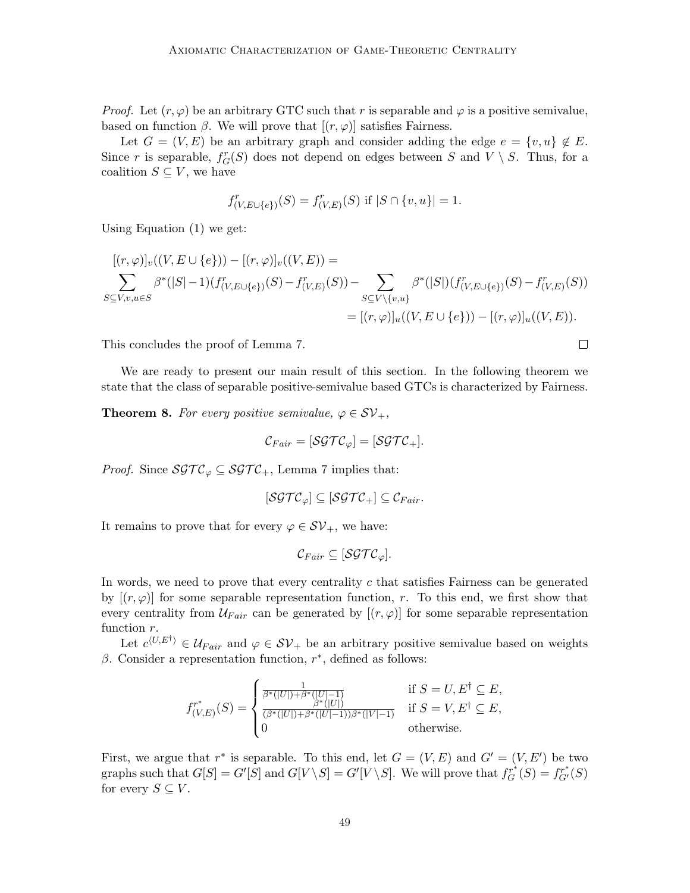*Proof.* Let  $(r, \varphi)$  be an arbitrary GTC such that r is separable and  $\varphi$  is a positive semivalue, based on function  $\beta$ . We will prove that  $[(r, \varphi)]$  satisfies Fairness.

Let  $G = (V, E)$  be an arbitrary graph and consider adding the edge  $e = \{v, u\} \notin E$ . Since r is separable,  $f_G^r(S)$  does not depend on edges between S and  $V \setminus S$ . Thus, for a coalition  $S \subseteq V$ , we have

$$
f^r_{(V,E \cup \{e\})}(S) = f^r_{(V,E)}(S) \text{ if } |S \cap \{v,u\}| = 1.
$$

Using Equation (1) we get:

$$
[(r,\varphi)]_v((V,E\cup\{e\})) - [(r,\varphi)]_v((V,E)) =
$$
  

$$
\sum_{S\subseteq V,v,u\in S} \beta^*(|S|-1)(f^r_{(V,E\cup\{e\})}(S) - f^r_{(V,E)}(S)) - \sum_{S\subseteq V\setminus\{v,u\}} \beta^*(|S|)(f^r_{(V,E\cup\{e\})}(S) - f^r_{(V,E)}(S))
$$
  

$$
= [(r,\varphi)]_u((V,E\cup\{e\})) - [(r,\varphi)]_u((V,E)).
$$

This concludes the proof of Lemma 7.

We are ready to present our main result of this section. In the following theorem we state that the class of separable positive-semivalue based GTCs is characterized by Fairness.

 $\Box$ 

**Theorem 8.** For every positive semivalue,  $\varphi \in \mathcal{SV}_+$ ,

$$
\mathcal{C}_{Fair} = [\mathcal{SGTC}_{\varphi}] = [\mathcal{SGTC}_{+}].
$$

*Proof.* Since  $\mathcal{SGTC}_{\varphi} \subseteq \mathcal{SGTC}_{+}$ , Lemma 7 implies that:

$$
[\mathcal{SGTC}_{\varphi}] \subseteq [\mathcal{SGTC}_{+}] \subseteq \mathcal{C}_{Fair}.
$$

It remains to prove that for every  $\varphi \in \mathcal{SV}_+$ , we have:

$$
\mathcal{C}_{Fair} \subseteq [\mathcal{SGTC}_\varphi].
$$

In words, we need to prove that every centrality  $c$  that satisfies Fairness can be generated by  $[(r, \varphi)]$  for some separable representation function, r. To this end, we first show that every centrality from  $\mathcal{U}_{Fair}$  can be generated by  $[(r, \varphi)]$  for some separable representation function  $r$ .

Let  $c^{\langle U, E^{\dagger} \rangle} \in \mathcal{U}_{Fair}$  and  $\varphi \in \mathcal{SV}_+$  be an arbitrary positive semivalue based on weights  $\beta$ . Consider a representation function,  $r^*$ , defined as follows:

$$
f_{(V,E)}^{r^*}(S) = \begin{cases} \frac{1}{\beta^*(|U|) + \beta^*(|U|-1)} & \text{if } S = U, E^{\dagger} \subseteq E, \\ \frac{\beta^*(|U|)}{\beta^*(|U|) + \beta^*(|U|-1))\beta^*(|V|-1)} & \text{if } S = V, E^{\dagger} \subseteq E, \\ 0 & \text{otherwise.} \end{cases}
$$

First, we argue that  $r^*$  is separable. To this end, let  $G = (V, E)$  and  $G' = (V, E')$  be two graphs such that  $G[S] = G'[S]$  and  $G[V \setminus S] = G'[V \setminus S]$ . We will prove that  $f_G^{r^*}(S) = f_{G'}^{r^*}(S)$ for every  $S \subseteq V$ .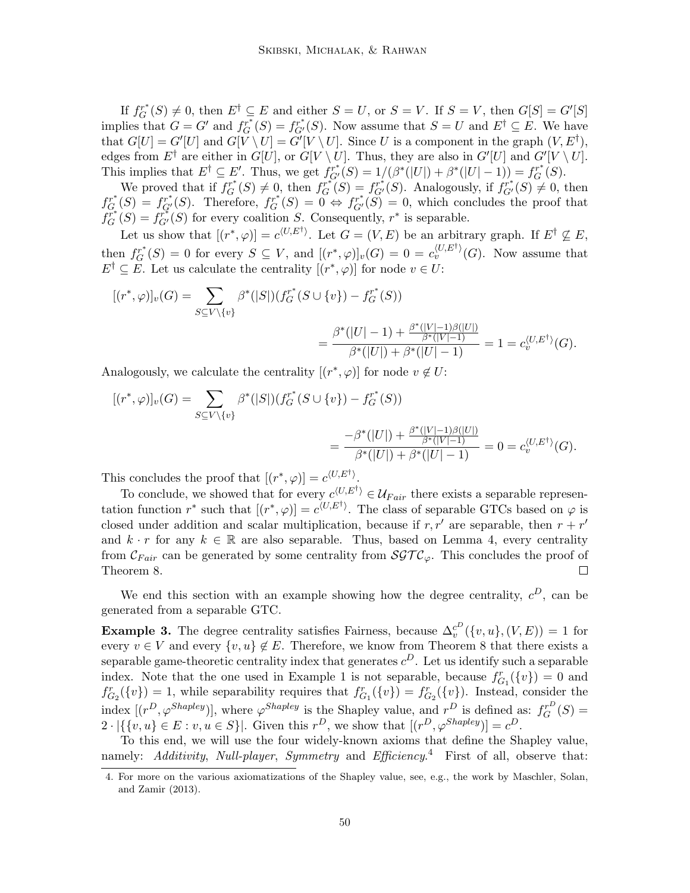If  $f_G^{r^*}(S) \neq 0$ , then  $E^{\dagger} \subseteq E$  and either  $S = U$ , or  $S = V$ . If  $S = V$ , then  $G[S] = G'[S]$ implies that  $G = G'$  and  $f_G^{T^*}(S) = f_{G'}^{T^*}(S)$ . Now assume that  $S = U$  and  $E^{\dagger} \subseteq E$ . We have that  $G[U] = G'[U]$  and  $G[V \setminus U] = G'[V \setminus U]$ . Since U is a component in the graph  $(V, E^{\dagger})$ , edges from  $E^{\dagger}$  are either in  $G[U]$ , or  $G[V \setminus U]$ . Thus, they are also in  $G'[U]$  and  $G'[V \setminus U]$ . This implies that  $E^{\dagger} \subseteq E'$ . Thus, we get  $f_{G'}^{r^*}(S) = 1/(\beta^*(|U|) + \beta^*(|U| - 1)) = f_G^{r^*}(S)$ .

We proved that if  $f_G^{r^*}(S) \neq 0$ , then  $f_G^{r^*}(S) = f_{G'}^{r^*}(S)$ . Analogously, if  $f_{G'}^{r^*}(S) \neq 0$ , then  $f_{G}^{r^*}(S) = f_{G'}^{r^*}(S)$ . Therefore,  $f_{G}^{r^*}(S) = 0 \Leftrightarrow f_{G'}^{r^*}(S) = 0$ , which concludes the proof that  $f_G^{r^*}(S) = f_{G'}^{r^*}(S)$  for every coalition S. Consequently,  $r^*$  is separable.

Let us show that  $[(r^*, \varphi)] = c^{\langle U, E^{\dagger} \rangle}$ . Let  $G = (V, E)$  be an arbitrary graph. If  $E^{\dagger} \nsubseteq E$ , then  $f_G^{r^*}(S) = 0$  for every  $S \subseteq V$ , and  $[(r^*, \varphi)]_v(G) = 0 = c_v^{\langle U, E^{\dagger} \rangle}(G)$ . Now assume that  $E^{\dagger} \subseteq E$ . Let us calculate the centrality  $[(r^*, \varphi)]$  for node  $v \in U$ :

$$
[(r^*, \varphi)]_v(G) = \sum_{S \subseteq V \setminus \{v\}} \beta^*(|S|)(f_G^{r^*}(S \cup \{v\}) - f_G^{r^*}(S))
$$
  
= 
$$
\frac{\beta^*(|U|-1) + \frac{\beta^*(|V|-1)\beta(|U|)}{\beta^*(|V|-1)}}{\beta^*(|U|) + \beta^*(|U|-1)} = 1 = c_v^{\langle U, E^{\dagger} \rangle}(G).
$$

Analogously, we calculate the centrality  $[(r^*, \varphi)]$  for node  $v \notin U$ :

$$
[(r^*, \varphi)]_v(G) = \sum_{S \subseteq V \setminus \{v\}} \beta^*(|S|)(f_G^{r^*}(S \cup \{v\}) - f_G^{r^*}(S))
$$
  
= 
$$
\frac{-\beta^*(|U|) + \frac{\beta^*(|V|-1)\beta(|U|)}{\beta^*(|V|-1)}}{\beta^*(|U|) + \beta^*(|U|-1)} = 0 = c_v^{\langle U, E^{\dagger} \rangle}(G).
$$

This concludes the proof that  $[(r^*, \varphi)] = c^{\langle U, E^{\dagger} \rangle}$ .

To conclude, we showed that for every  $c^{(U,E^{\dagger})} \in \mathcal{U}_{Fair}$  there exists a separable representation function  $r^*$  such that  $[(r^*, \varphi)] = c^{\langle U, E^{\dagger} \rangle}$ . The class of separable GTCs based on  $\varphi$  is closed under addition and scalar multiplication, because if  $r, r'$  are separable, then  $r + r'$ and  $k \cdot r$  for any  $k \in \mathbb{R}$  are also separable. Thus, based on Lemma 4, every centrality from  $\mathcal{C}_{Fair}$  can be generated by some centrality from  $\mathcal{SGTC}_{\varphi}$ . This concludes the proof of Theorem 8.  $\Box$ 

We end this section with an example showing how the degree centrality,  $c^D$ , can be generated from a separable GTC.

**Example 3.** The degree centrality satisfies Fairness, because  $\Delta_v^{c}(\lbrace v, u \rbrace, (V, E)) = 1$  for every  $v \in V$  and every  $\{v, u\} \notin E$ . Therefore, we know from Theorem 8 that there exists a separable game-theoretic centrality index that generates  $c^D$ . Let us identify such a separable index. Note that the one used in Example 1 is not separable, because  $f_{G_1}^r(\{v\})=0$  and  $f_{G_2}^r(\{v\}) = 1$ , while separability requires that  $f_{G_1}^r(\{v\}) = f_{G_2}^r(\{v\})$ . Instead, consider the index  $[(r^D, \varphi^{Shapley})]$ , where  $\varphi^{Shapley}$  is the Shapley value, and  $r^D$  is defined as:  $f_G^{r^D}(S)$  =  $2 \cdot |\{\{v, u\} \in E : v, u \in S\}|$ . Given this  $r^D$ , we show that  $[(r^D, \varphi^{Shapley})] = c^D$ .

To this end, we will use the four widely-known axioms that define the Shapley value, namely: Additivity, Null-player, Symmetry and Efficiency.<sup>4</sup> First of all, observe that:

<sup>4.</sup> For more on the various axiomatizations of the Shapley value, see, e.g., the work by Maschler, Solan, and Zamir (2013).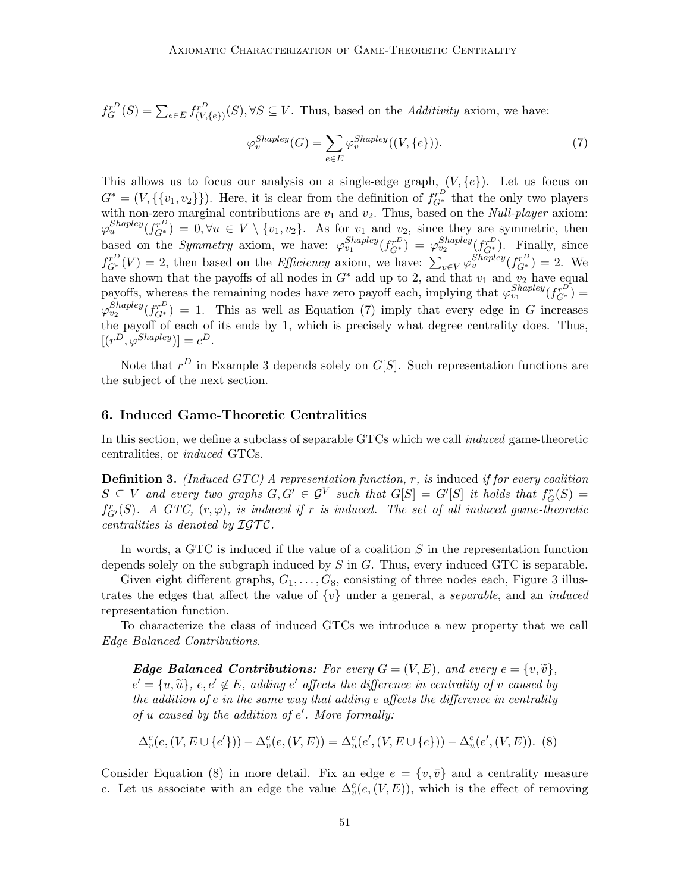$f_G^{r^D}(S) = \sum_{e \in E} f_{(V,\{e\})}^{r^D}(S), \forall S \subseteq V$ . Thus, based on the Additivity axiom, we have:

$$
\varphi_v^{Shapley}(G) = \sum_{e \in E} \varphi_v^{Shapley}((V, \{e\})).\tag{7}
$$

This allows us to focus our analysis on a single-edge graph,  $(V, \{e\})$ . Let us focus on  $G^* = (V, \{\{v_1, v_2\}\})$ . Here, it is clear from the definition of  $f_{G^*}^{r^D}$  that the only two players with non-zero marginal contributions are  $v_1$  and  $v_2$ . Thus, based on the *Null-player* axiom:  $\varphi_u^{Shapley}(f_{G^*}^{r^D}) = 0, \forall u \in V \setminus \{v_1, v_2\}.$  As for  $v_1$  and  $v_2$ , since they are symmetric, then based on the *Symmetry* axiom, we have:  $\varphi_{v_1}^{Shapley}(f_{G^*}^{rD}) = \varphi_{v_2}^{Shapley}(f_{G^*}^{rD})$ . Finally, since  $f_{G^*}^{r^D}(V) = 2$ , then based on the *Efficiency* axiom, we have:  $\sum_{v \in V} \varphi_v^{Shapley}(f_{G^*}^{r^D}) = 2$ . We have shown that the payoffs of all nodes in  $G^*$  add up to 2, and that  $v_1$  and  $v_2$  have equal payoffs, whereas the remaining nodes have zero payoff each, implying that  $\varphi_{v_1}^{Shapley}(f_{G^*}^{D})$  $\varphi_{v_2}^{Shapley}(f_{G^*}^{r^D}) = 1$ . This as well as Equation (7) imply that every edge in G increases the payoff of each of its ends by 1, which is precisely what degree centrality does. Thus,  $[(r^D, \varphi^{Shapley})] = c^D.$ 

Note that  $r^D$  in Example 3 depends solely on  $G[S]$ . Such representation functions are the subject of the next section.

# 6. Induced Game-Theoretic Centralities

In this section, we define a subclass of separable GTCs which we call induced game-theoretic centralities, or induced GTCs.

**Definition 3.** (Induced GTC) A representation function,  $r$ , is induced if for every coalition  $S \subseteq V$  and every two graphs  $G, G' \in \mathcal{G}^V$  such that  $G[S] = G'[S]$  it holds that  $f_G^r(S) =$  $f_{G'}^r(S)$ . A GTC,  $(r, \varphi)$ , is induced if r is induced. The set of all induced game-theoretic centralities is denoted by  $\mathcal{IGTC}$ .

In words, a GTC is induced if the value of a coalition  $S$  in the representation function depends solely on the subgraph induced by  $S$  in  $G$ . Thus, every induced GTC is separable.

Given eight different graphs,  $G_1, \ldots, G_8$ , consisting of three nodes each, Figure 3 illustrates the edges that affect the value of  $\{v\}$  under a general, a *separable*, and an *induced* representation function.

To characterize the class of induced GTCs we introduce a new property that we call Edge Balanced Contributions.

**Edge Balanced Contributions:** For every  $G = (V, E)$ , and every  $e = \{v, \tilde{v}\},$  $e' = \{u, \tilde{u}\}, e, e' \notin E$ , adding  $e'$  affects the difference in centrality of v caused by<br>the addition of e in the same way that adding a effects the difference in centrality the addition of e in the same way that adding e affects the difference in centrality of  $u$  caused by the addition of  $e'$ . More formally:

$$
\Delta_v^c(e, (V, E \cup \{e'\})) - \Delta_v^c(e, (V, E)) = \Delta_u^c(e', (V, E \cup \{e\})) - \Delta_u^c(e', (V, E)).
$$
 (8)

Consider Equation (8) in more detail. Fix an edge  $e = \{v, \bar{v}\}\$ and a centrality measure c. Let us associate with an edge the value  $\Delta_v^c(e, (V, E))$ , which is the effect of removing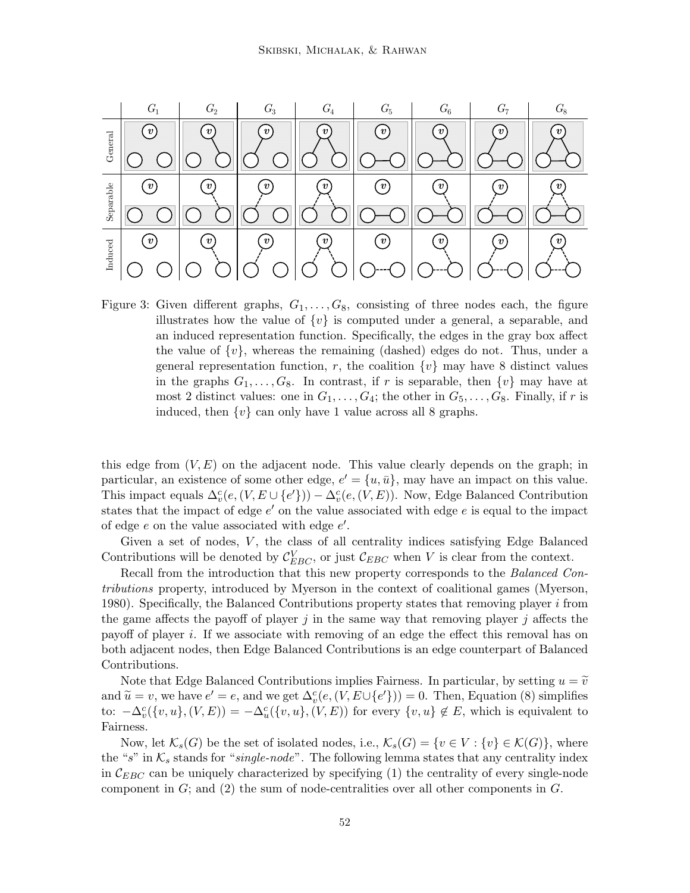

Figure 3: Given different graphs,  $G_1, \ldots, G_8$ , consisting of three nodes each, the figure illustrates how the value of  $\{v\}$  is computed under a general, a separable, and an induced representation function. Specifically, the edges in the gray box affect the value of  $\{v\}$ , whereas the remaining (dashed) edges do not. Thus, under a general representation function, r, the coalition  $\{v\}$  may have 8 distinct values in the graphs  $G_1, \ldots, G_8$ . In contrast, if r is separable, then  $\{v\}$  may have at most 2 distinct values: one in  $G_1, \ldots, G_4$ ; the other in  $G_5, \ldots, G_8$ . Finally, if r is induced, then  $\{v\}$  can only have 1 value across all 8 graphs.

this edge from  $(V, E)$  on the adjacent node. This value clearly depends on the graph; in particular, an existence of some other edge,  $e' = \{u, \bar{u}\}\$ , may have an impact on this value. This impact equals  $\Delta_v^c(e, (V, E \cup \{e'\})) - \Delta_v^c(e, (V, E))$ . Now, Edge Balanced Contribution states that the impact of edge  $e'$  on the value associated with edge  $e$  is equal to the impact of edge  $e$  on the value associated with edge  $e'$ .

Given a set of nodes,  $V$ , the class of all centrality indices satisfying Edge Balanced Contributions will be denoted by  $\mathcal{C}_{EBC}^V$ , or just  $\mathcal{C}_{EBC}$  when V is clear from the context.

Recall from the introduction that this new property corresponds to the Balanced Contributions property, introduced by Myerson in the context of coalitional games (Myerson, 1980). Specifically, the Balanced Contributions property states that removing player  $i$  from the game affects the payoff of player  $j$  in the same way that removing player  $j$  affects the payoff of player i. If we associate with removing of an edge the effect this removal has on both adjacent nodes, then Edge Balanced Contributions is an edge counterpart of Balanced Contributions.

Note that Edge Balanced Contributions implies Fairness. In particular, by setting  $u = \tilde{v}$ and  $\widetilde{u} = v$ , we have  $e' = e$ , and we get  $\Delta_v^c(e, (V, E \cup \{e'\})) = 0$ . Then, Equation (8) simplifies to:  $-\Delta_v^c(\{v, u\}, (V, E)) = -\Delta_u^c(\{v, u\}, (V, E))$  for every  $\{v, u\} \notin E$ , which is equivalent to Fairness.

Now, let  $\mathcal{K}_s(G)$  be the set of isolated nodes, i.e.,  $\mathcal{K}_s(G) = \{v \in V : \{v\} \in \mathcal{K}(G)\}\)$ , where the "s" in  $\mathcal{K}_s$  stands for "single-node". The following lemma states that any centrality index in  $\mathcal{C}_{EBC}$  can be uniquely characterized by specifying (1) the centrality of every single-node component in  $G$ ; and  $(2)$  the sum of node-centralities over all other components in  $G$ .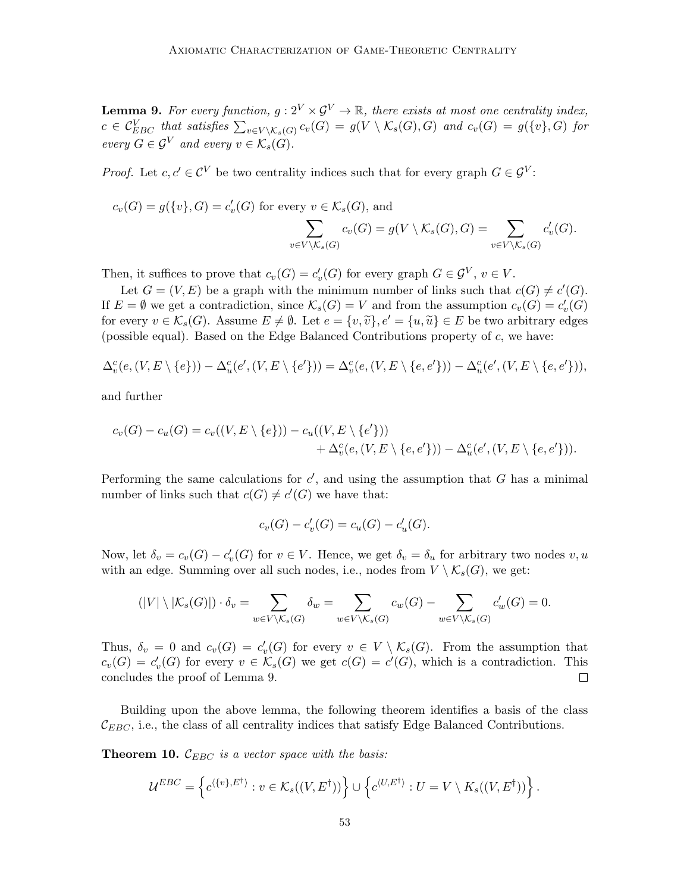**Lemma 9.** For every function,  $g: 2^V \times \mathcal{G}^V \to \mathbb{R}$ , there exists at most one centrality index,  $c \in \mathcal{C}_{EBC}^V$  that satisfies  $\sum_{v \in V \setminus \mathcal{K}_s(G)} c_v(G) = g(V \setminus \mathcal{K}_s(G), G)$  and  $c_v(G) = g(\{v\}, G)$  for every  $G \in \mathcal{G}^V$  and every  $v \in \mathcal{K}_s(G)$ .

*Proof.* Let  $c, c' \in \mathcal{C}^V$  be two centrality indices such that for every graph  $G \in \mathcal{G}^V$ :

$$
c_v(G) = g(\{v\}, G) = c'_v(G) \text{ for every } v \in \mathcal{K}_s(G), \text{ and}
$$

$$
\sum_{v \in V \setminus \mathcal{K}_s(G)} c_v(G) = g(V \setminus \mathcal{K}_s(G), G) = \sum_{v \in V \setminus \mathcal{K}_s(G)} c'_v(G).
$$

Then, it suffices to prove that  $c_v(G) = c'_v(G)$  for every graph  $G \in \mathcal{G}^V$ ,  $v \in V$ .

Let  $G = (V, E)$  be a graph with the minimum number of links such that  $c(G) \neq c'(G)$ . If  $E = \emptyset$  we get a contradiction, since  $\mathcal{K}_s(G) = V$  and from the assumption  $c_v(G) = c'_v(G)$ for every  $v \in \mathcal{K}_s(G)$ . Assume  $E \neq \emptyset$ . Let  $e = \{v, \tilde{v}\}, e' = \{u, \tilde{u}\} \in E$  be two arbitrary edges (possible equal). Based on the Edge Balanced Contributions property of c, we have:

$$
\Delta_v^c(e, (V, E \setminus \{e\})) - \Delta_u^c(e', (V, E \setminus \{e'\})) = \Delta_v^c(e, (V, E \setminus \{e, e'\})) - \Delta_u^c(e', (V, E \setminus \{e, e'\})),
$$

and further

$$
c_v(G) - c_u(G) = c_v((V, E \setminus \{e\})) - c_u((V, E \setminus \{e'\})) + \Delta_v^c(e, (V, E \setminus \{e, e'\})) - \Delta_u^c(e', (V, E \setminus \{e, e'\})).
$$

Performing the same calculations for  $c'$ , and using the assumption that  $G$  has a minimal number of links such that  $c(G) \neq c'(G)$  we have that:

$$
c_v(G) - c'_v(G) = c_u(G) - c'_u(G).
$$

Now, let  $\delta_v = c_v(G) - c'_v(G)$  for  $v \in V$ . Hence, we get  $\delta_v = \delta_u$  for arbitrary two nodes  $v, u$ with an edge. Summing over all such nodes, i.e., nodes from  $V \setminus \mathcal{K}_s(G)$ , we get:

$$
(|V| \setminus |\mathcal{K}_s(G)|) \cdot \delta_v = \sum_{w \in V \setminus \mathcal{K}_s(G)} \delta_w = \sum_{w \in V \setminus \mathcal{K}_s(G)} c_w(G) - \sum_{w \in V \setminus \mathcal{K}_s(G)} c'_w(G) = 0.
$$

Thus,  $\delta_v = 0$  and  $c_v(G) = c'_v(G)$  for every  $v \in V \setminus \mathcal{K}_s(G)$ . From the assumption that  $c_v(G) = c'_v(G)$  for every  $v \in \mathcal{K}_s(G)$  we get  $c(G) = c'(G)$ , which is a contradiction. This concludes the proof of Lemma 9.  $\Box$ 

Building upon the above lemma, the following theorem identifies a basis of the class  $\mathcal{C}_{EBC}$ , i.e., the class of all centrality indices that satisfy Edge Balanced Contributions.

**Theorem 10.**  $\mathcal{C}_{EBC}$  is a vector space with the basis:

$$
\mathcal{U}^{EBC} = \left\{ c^{\langle \{v\}, E^{\dagger} \rangle} : v \in \mathcal{K}_s((V, E^{\dagger})) \right\} \cup \left\{ c^{\langle U, E^{\dagger} \rangle} : U = V \setminus K_s((V, E^{\dagger})) \right\}.
$$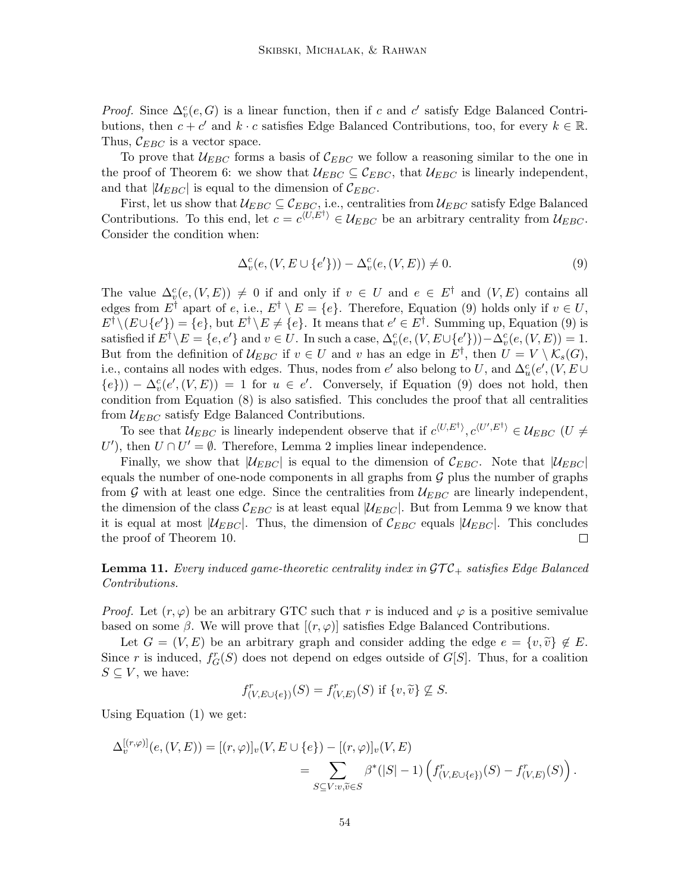*Proof.* Since  $\Delta_v^c(e, G)$  is a linear function, then if c and c' satisfy Edge Balanced Contributions, then  $c + c'$  and  $k \cdot c$  satisfies Edge Balanced Contributions, too, for every  $k \in \mathbb{R}$ . Thus,  $\mathcal{C}_{EBC}$  is a vector space.

To prove that  $U_{EBC}$  forms a basis of  $C_{EBC}$  we follow a reasoning similar to the one in the proof of Theorem 6: we show that  $\mathcal{U}_{EBC} \subseteq \mathcal{C}_{EBC}$ , that  $\mathcal{U}_{EBC}$  is linearly independent, and that  $|\mathcal{U}_{EBC}|$  is equal to the dimension of  $\mathcal{C}_{EBC}$ .

First, let us show that  $\mathcal{U}_{EBC} \subseteq \mathcal{C}_{EBC}$ , i.e., centralities from  $\mathcal{U}_{EBC}$  satisfy Edge Balanced Contributions. To this end, let  $c = c^{\langle U, E^{\dagger} \rangle} \in \mathcal{U}_{EBC}$  be an arbitrary centrality from  $\mathcal{U}_{EBC}$ . Consider the condition when:

$$
\Delta_v^c(e, (V, E \cup \{e'\})) - \Delta_v^c(e, (V, E)) \neq 0.
$$
\n
$$
(9)
$$

The value  $\Delta_v^c(e, (V, E)) \neq 0$  if and only if  $v \in U$  and  $e \in E^{\dagger}$  and  $(V, E)$  contains all edges from E<sup>†</sup> apart of e, i.e.,  $E^{\dagger} \setminus E = \{e\}$ . Therefore, Equation (9) holds only if  $v \in U$ ,  $E^{\dagger} \setminus (E \cup \{e'\}) = \{e\}$ , but  $E^{\dagger} \setminus E \neq \{e\}$ . It means that  $e' \in E^{\dagger}$ . Summing up, Equation (9) is satisfied if  $E^{\dagger} \backslash E = \{e, e'\}$  and  $v \in U$ . In such a case,  $\Delta_v^c(e, (V, E \cup \{e'\})) - \Delta_v^c(e, (V, E)) = 1$ . But from the definition of  $\mathcal{U}_{EBC}$  if  $v \in U$  and v has an edge in  $E^{\dagger}$ , then  $U = V \setminus \mathcal{K}_s(G)$ , i.e., contains all nodes with edges. Thus, nodes from  $e'$  also belong to U, and  $\Delta_u^c(e', (V, E \cup$  ${e})$ ) –  $\Delta_v^c(e', (V, E)) = 1$  for  $u \in e'$ . Conversely, if Equation (9) does not hold, then condition from Equation (8) is also satisfied. This concludes the proof that all centralities from  $\mathcal{U}_{EBC}$  satisfy Edge Balanced Contributions.

To see that  $\mathcal{U}_{EBC}$  is linearly independent observe that if  $c^{\langle U,E^\dagger\rangle},c^{\langle U',E^\dagger\rangle}\in\mathcal{U}_{EBC}$  (U  $\neq$ U'), then  $U \cap U' = \emptyset$ . Therefore, Lemma 2 implies linear independence.

Finally, we show that  $|\mathcal{U}_{EBC}|$  is equal to the dimension of  $\mathcal{C}_{EBC}$ . Note that  $|\mathcal{U}_{EBC}|$ equals the number of one-node components in all graphs from  $G$  plus the number of graphs from G with at least one edge. Since the centralities from  $\mathcal{U}_{EBC}$  are linearly independent, the dimension of the class  $\mathcal{C}_{EBC}$  is at least equal  $|\mathcal{U}_{EBC}|$ . But from Lemma 9 we know that it is equal at most  $|\mathcal{U}_{EBC}|$ . Thus, the dimension of  $\mathcal{C}_{EBC}$  equals  $|\mathcal{U}_{EBC}|$ . This concludes the proof of Theorem 10.  $\Box$ 

**Lemma 11.** Every induced game-theoretic centrality index in  $\mathcal{GTC}_+$  satisfies Edge Balanced Contributions.

*Proof.* Let  $(r, \varphi)$  be an arbitrary GTC such that r is induced and  $\varphi$  is a positive semivalue based on some  $\beta$ . We will prove that  $[(r, \varphi)]$  satisfies Edge Balanced Contributions.

Let  $G = (V, E)$  be an arbitrary graph and consider adding the edge  $e = \{v, \tilde{v}\}\notin E$ . Since r is induced,  $f_G^r(S)$  does not depend on edges outside of  $G[S]$ . Thus, for a coalition  $S \subseteq V$ , we have:

$$
f^r_{(V,E \cup \{e\})}(S) = f^r_{(V,E)}(S) \text{ if } \{v, \widetilde{v}\} \not\subseteq S.
$$

Using Equation (1) we get:

$$
\Delta_v^{[(r,\varphi)]}(e,(V,E)) = [(r,\varphi)]_v(V,E \cup \{e\}) - [(r,\varphi)]_v(V,E)
$$
  
= 
$$
\sum_{S \subseteq V: v,\widetilde{v} \in S} \beta^*(|S|-1) \left( f^r_{(V,E \cup \{e\})}(S) - f^r_{(V,E)}(S) \right).
$$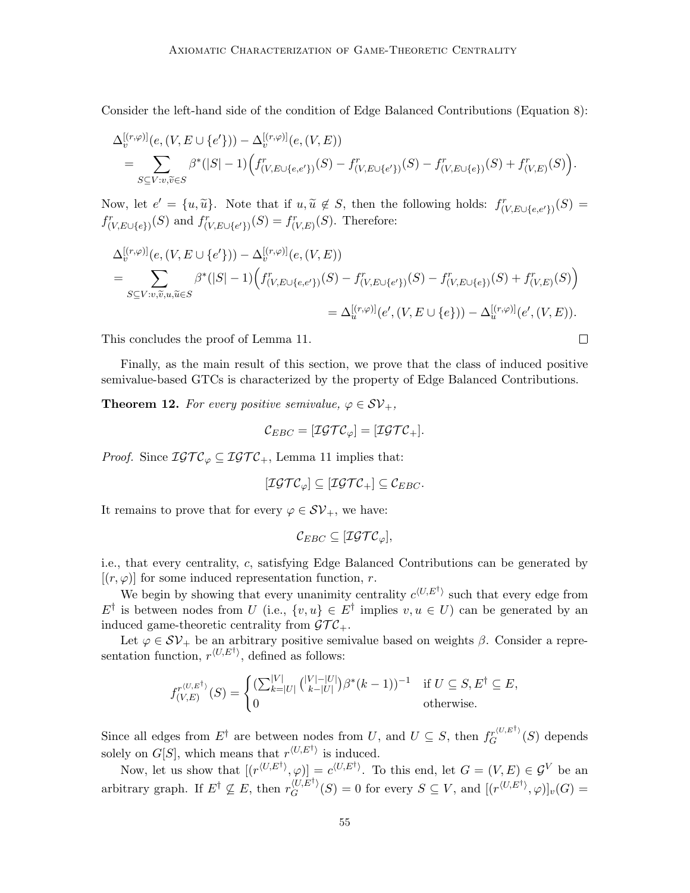Consider the left-hand side of the condition of Edge Balanced Contributions (Equation 8):

$$
\Delta_v^{[(r,\varphi)]}(e, (V, E \cup \{e'\})) - \Delta_v^{[(r,\varphi)]}(e, (V, E))
$$
\n
$$
= \sum_{S \subseteq V: v, \widetilde{v} \in S} \beta^*(|S| - 1) \Big( f^r_{(V, E \cup \{e, e'\})}(S) - f^r_{(V, E \cup \{e'\})}(S) - f^r_{(V, E \cup \{e\})}(S) + f^r_{(V, E)}(S) \Big).
$$

Now, let  $e' = \{u, \tilde{u}\}\$ . Note that if  $u, \tilde{u} \notin S$ , then the following holds:  $f^r_{(V,E\cup\{e,e'\})}(S) =$  $f^r_{(V,E\cup\{e\})}(S)$  and  $f^r_{(V,E\cup\{e'\})}(S) = f^r_{(V,E)}(S)$ . Therefore:

$$
\Delta_v^{[(r,\varphi)]}(e, (V, E \cup \{e'\})) - \Delta_v^{[(r,\varphi)]}(e, (V, E))
$$
\n
$$
= \sum_{S \subseteq V:v, \tilde{v}, u, \tilde{u} \in S} \beta^*(|S|-1) \Big( f^r_{(V, E \cup \{e,e'\})}(S) - f^r_{(V, E \cup \{e'\})}(S) - f^r_{(V, E \cup \{e\})}(S) + f^r_{(V, E)}(S) \Big)
$$
\n
$$
= \Delta_u^{[(r,\varphi)]}(e', (V, E \cup \{e\})) - \Delta_u^{[(r,\varphi)]}(e', (V, E)).
$$

This concludes the proof of Lemma 11.

Finally, as the main result of this section, we prove that the class of induced positive semivalue-based GTCs is characterized by the property of Edge Balanced Contributions.

 $\Box$ 

**Theorem 12.** For every positive semivalue,  $\varphi \in \mathcal{SV}_+$ ,

$$
\mathcal{C}_{EBC} = [\mathcal{IGTC}_{\varphi}] = [\mathcal{IGTC}_{+}].
$$

*Proof.* Since  $\mathcal{IGTC}_{\varphi} \subseteq \mathcal{IGTC}_+$ , Lemma 11 implies that:

$$
[\mathcal{IGTC}_{\varphi}] \subseteq [\mathcal{IGTC}_{+}] \subseteq \mathcal{C}_{EBC}.
$$

It remains to prove that for every  $\varphi \in \mathcal{SV}_{+}$ , we have:

$$
\mathcal{C}_{EBC} \subseteq [\mathcal{IGTC}_{\varphi}],
$$

i.e., that every centrality, c, satisfying Edge Balanced Contributions can be generated by  $[(r, \varphi)]$  for some induced representation function, r.

We begin by showing that every unanimity centrality  $c^{\langle U, E^{\dagger} \rangle}$  such that every edge from  $E^{\dagger}$  is between nodes from U (i.e.,  $\{v, u\} \in E^{\dagger}$  implies  $v, u \in U$ ) can be generated by an induced game-theoretic centrality from  $\mathcal{GTC}_+$ .

Let  $\varphi \in S\mathcal{V}_+$  be an arbitrary positive semivalue based on weights  $\beta$ . Consider a representation function,  $r^{\langle U, E^{\dagger} \rangle}$ , defined as follows:

$$
f_{(V,E)}^{r^{\langle U,E^\dagger\rangle}}(S) = \begin{cases} \left(\sum_{k=|U|}^{|V|} {(|V|-|U| \choose k-|U|}) \beta^*(k-1)\right)^{-1} & \text{if } U \subseteq S, E^\dagger \subseteq E, \\ 0 & \text{otherwise.} \end{cases}
$$

Since all edges from  $E^{\dagger}$  are between nodes from U, and  $U \subseteq S$ , then  $f_G^{r(U,E^{\dagger})}(S)$  depends solely on  $G[S]$ , which means that  $r^{\langle U, E^{\dagger} \rangle}$  is induced.

Now, let us show that  $[(r^{\langle U, E^{\dagger} \rangle}, \varphi)] = c^{\langle U, E^{\dagger} \rangle}$ . To this end, let  $G = (V, E) \in \mathcal{G}^V$  be an arbitrary graph. If  $E^{\dagger} \nsubseteq E$ , then  $r_G^{\langle U, E^{\dagger} \rangle}$  $G_G^{\langle U, E^{\dagger} \rangle}(S) = 0$  for every  $S \subseteq V$ , and  $[(r^{\langle U, E^{\dagger} \rangle}, \varphi)]_v(G) =$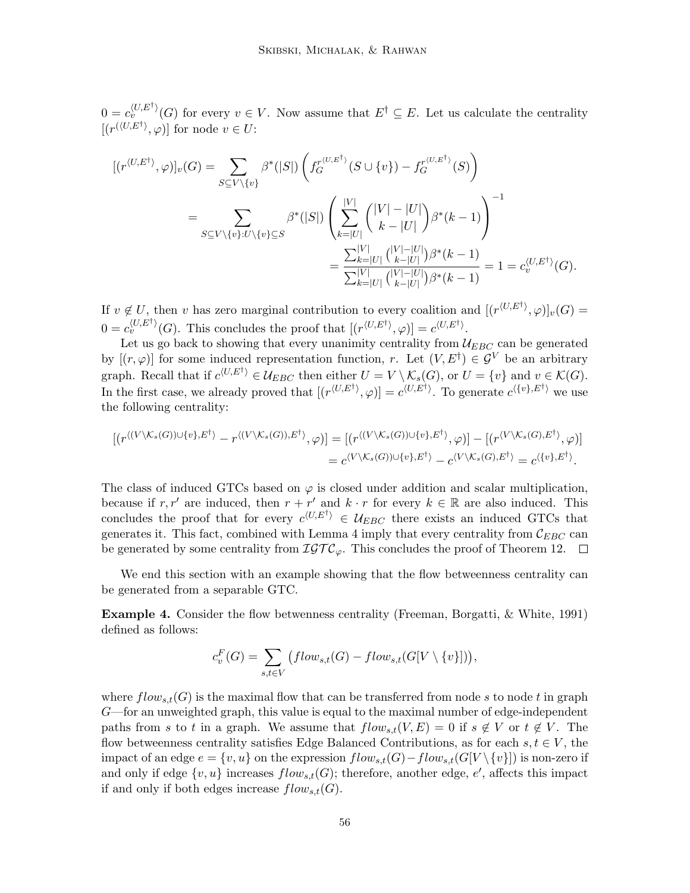$0 = c_v^{\langle U, E^{\dagger} \rangle}(G)$  for every  $v \in V$ . Now assume that  $E^{\dagger} \subseteq E$ . Let us calculate the centrality  $[(r^{(\langle U, E^{\dagger} \rangle)}, \varphi)]$  for node  $v \in U$ :

$$
[(r^{\langle U, E^{\dagger} \rangle}, \varphi)]_{v}(G) = \sum_{S \subseteq V \setminus \{v\}} \beta^{*}(|S|) \left( f_{G}^{r^{\langle U, E^{\dagger} \rangle}}(S \cup \{v\}) - f_{G}^{r^{\langle U, E^{\dagger} \rangle}}(S) \right)
$$
  

$$
= \sum_{S \subseteq V \setminus \{v\}: U \setminus \{v\} \subseteq S} \beta^{*}(|S|) \left( \sum_{k=|U|}^{|V|} { |V| - |U| \choose k - |U|} \beta^{*}(k - 1) \right)^{-1}
$$
  

$$
= \frac{\sum_{k=|U|}^{|V|} { |V| - |U| \choose k - |U|} \beta^{*}(k - 1)}{\sum_{k=|U|}^{|V|} { |V| - |U| \choose k - |U|} \beta^{*}(k - 1)} = 1 = c_{v}^{\langle U, E^{\dagger} \rangle}(G).
$$

If  $v \notin U$ , then v has zero marginal contribution to every coalition and  $[(r^{\langle U, E^{\dagger} \rangle}, \varphi)]_v(G) =$  $0 = c_v^{\langle U, E^{\dagger} \rangle}(G)$ . This concludes the proof that  $[(r^{\langle U, E^{\dagger} \rangle}, \varphi)] = c^{\langle U, E^{\dagger} \rangle}$ .

Let us go back to showing that every unanimity centrality from  $\mathcal{U}_{EBC}$  can be generated by  $[(r, \varphi)]$  for some induced representation function, r. Let  $(V, E^{\dagger}) \in \mathcal{G}^V$  be an arbitrary graph. Recall that if  $c^{(U,E^{\dagger})} \in \mathcal{U}_{EBC}$  then either  $U = V \setminus \mathcal{K}_s(G)$ , or  $U = \{v\}$  and  $v \in \mathcal{K}(G)$ . In the first case, we already proved that  $[(r^{\langle U, E^{\dagger} \rangle}, \varphi)] = c^{\langle U, E^{\dagger} \rangle}$ . To generate  $c^{\langle \{v\}, E^{\dagger} \rangle}$  we use the following centrality:

$$
[(r^{\langle (V \setminus K_s(G)) \cup \{v\}, E^{\dagger} \rangle} - r^{\langle (V \setminus K_s(G)), E^{\dagger} \rangle}, \varphi)] = [(r^{\langle (V \setminus K_s(G)) \cup \{v\}, E^{\dagger} \rangle}, \varphi)] - [(r^{\langle V \setminus K_s(G), E^{\dagger} \rangle}, \varphi)]
$$
  
= 
$$
c^{\langle V \setminus K_s(G)) \cup \{v\}, E^{\dagger} \rangle} - c^{\langle V \setminus K_s(G), E^{\dagger} \rangle} = c^{\langle \{v\}, E^{\dagger} \rangle}.
$$

The class of induced GTCs based on  $\varphi$  is closed under addition and scalar multiplication, because if r, r' are induced, then  $r + r'$  and  $k \cdot r$  for every  $k \in \mathbb{R}$  are also induced. This concludes the proof that for every  $c^{\langle U, E^{\dagger} \rangle} \in \mathcal{U}_{EBC}$  there exists an induced GTCs that generates it. This fact, combined with Lemma 4 imply that every centrality from  $\mathcal{C}_{EBC}$  can be generated by some centrality from  $\mathcal{IGTC}_{\varphi}$ . This concludes the proof of Theorem 12.  $\Box$ 

We end this section with an example showing that the flow betweenness centrality can be generated from a separable GTC.

Example 4. Consider the flow betwenness centrality (Freeman, Borgatti, & White, 1991) defined as follows:

$$
c_v^F(G) = \sum_{s,t \in V} (flow_{s,t}(G) - flow_{s,t}(G[V \setminus \{v\}]),
$$

where  $flow_{s,t}(G)$  is the maximal flow that can be transferred from node s to node t in graph G—for an unweighted graph, this value is equal to the maximal number of edge-independent paths from s to t in a graph. We assume that  $flow_{s,t}(V, E) = 0$  if  $s \notin V$  or  $t \notin V$ . The flow betweenness centrality satisfies Edge Balanced Contributions, as for each  $s, t \in V$ , the impact of an edge  $e = \{v, u\}$  on the expression  $flow_{s,t}(G) - flow_{s,t}(G[V \setminus \{v\}])$  is non-zero if and only if edge  $\{v, u\}$  increases  $flow_{s,t}(G)$ ; therefore, another edge, e', affects this impact if and only if both edges increase  $flow_{s,t}(G)$ .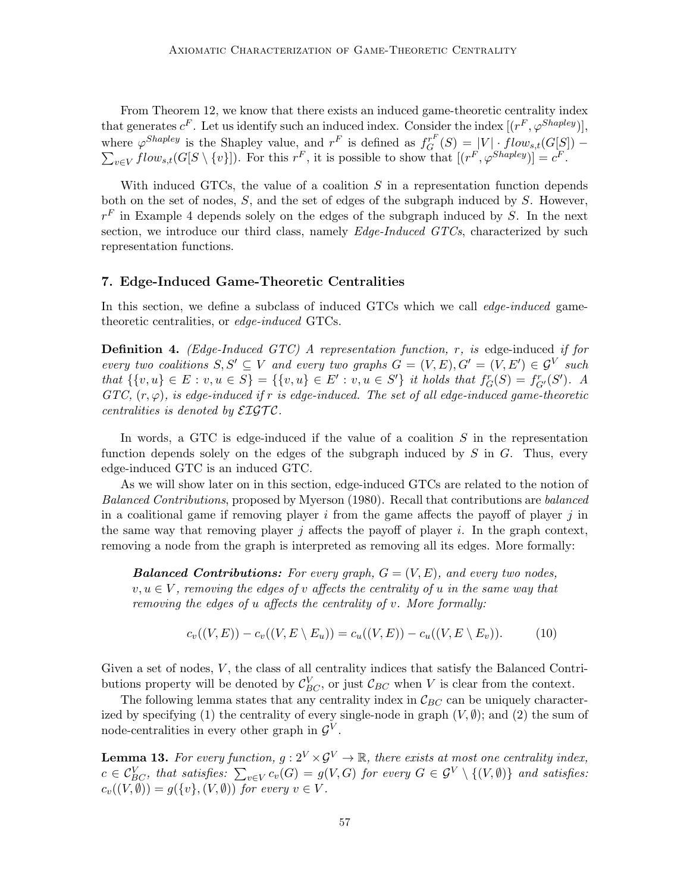From Theorem 12, we know that there exists an induced game-theoretic centrality index that generates  $c^F$ . Let us identify such an induced index. Consider the index  $[(r^F, \varphi^{Shapley})]$ , where  $\varphi^{Shapley}$  is the Shapley value, and  $r^F$  is defined as  $f_G^{r^F}$  $\sum$  $G^{r^T}(S) = |V| \cdot flow_{s,t}(G[S]) _{v\in V}flow_{s,t}(G[S\setminus\{v\}])$ . For this  $r^F$ , it is possible to show that  $[(r^F,\varphi^{Shapley})]=c^F$ .

With induced GTCs, the value of a coalition  $S$  in a representation function depends both on the set of nodes,  $S$ , and the set of edges of the subgraph induced by  $S$ . However,  $r<sup>F</sup>$  in Example 4 depends solely on the edges of the subgraph induced by S. In the next section, we introduce our third class, namely  $Edge-Induced$   $GTCs$ , characterized by such representation functions.

# 7. Edge-Induced Game-Theoretic Centralities

In this section, we define a subclass of induced GTCs which we call *edge-induced* gametheoretic centralities, or edge-induced GTCs.

**Definition 4.** (Edge-Induced GTC) A representation function,  $r$ , is edge-induced if for every two coalitions  $S, S' \subseteq V$  and every two graphs  $G = (V, E), G' = (V, E') \in \mathcal{G}^V$  such that  $\{ \{v, u\} \in E : v, u \in S \} = \{ \{v, u\} \in E' : v, u \in S' \}$  it holds that  $f_G^r(S) = f_{G'}^r(S')$ . A  $GTC, (r, \varphi)$ , is edge-induced if r is edge-induced. The set of all edge-induced game-theoretic centralities is denoted by  $\mathcal{E} \mathcal{I} \mathcal{G} \mathcal{T} \mathcal{C}$ .

In words, a GTC is edge-induced if the value of a coalition  $S$  in the representation function depends solely on the edges of the subgraph induced by  $S$  in  $G$ . Thus, every edge-induced GTC is an induced GTC.

As we will show later on in this section, edge-induced GTCs are related to the notion of Balanced Contributions, proposed by Myerson (1980). Recall that contributions are balanced in a coalitional game if removing player i from the game affects the payoff of player j in the same way that removing player  $j$  affects the payoff of player  $i$ . In the graph context, removing a node from the graph is interpreted as removing all its edges. More formally:

**Balanced Contributions:** For every graph,  $G = (V, E)$ , and every two nodes,  $v, u \in V$ , removing the edges of v affects the centrality of u in the same way that removing the edges of u affects the centrality of v. More formally:

$$
c_v((V, E)) - c_v((V, E \setminus E_u)) = c_u((V, E)) - c_u((V, E \setminus E_v)). \tag{10}
$$

Given a set of nodes,  $V$ , the class of all centrality indices that satisfy the Balanced Contributions property will be denoted by  $\mathcal{C}_{BC}^V$ , or just  $\mathcal{C}_{BC}$  when V is clear from the context.

The following lemma states that any centrality index in  $\mathcal{C}_{BC}$  can be uniquely characterized by specifying (1) the centrality of every single-node in graph  $(V, \emptyset)$ ; and (2) the sum of node-centralities in every other graph in  $\mathcal{G}^V$ .

**Lemma 13.** For every function,  $g: 2^V \times \mathcal{G}^V \to \mathbb{R}$ , there exists at most one centrality index,  $c\in \mathcal{C}_{BC}^V,$  that satisfies:  $\sum_{v\in V} c_v(G)=g(V,G)$  for every  $G\in \mathcal{G}^V\setminus\{(V,\emptyset)\}$  and satisfies:  $c_v((V, \emptyset)) = g(\lbrace v \rbrace, (V, \emptyset))$  for every  $v \in V$ .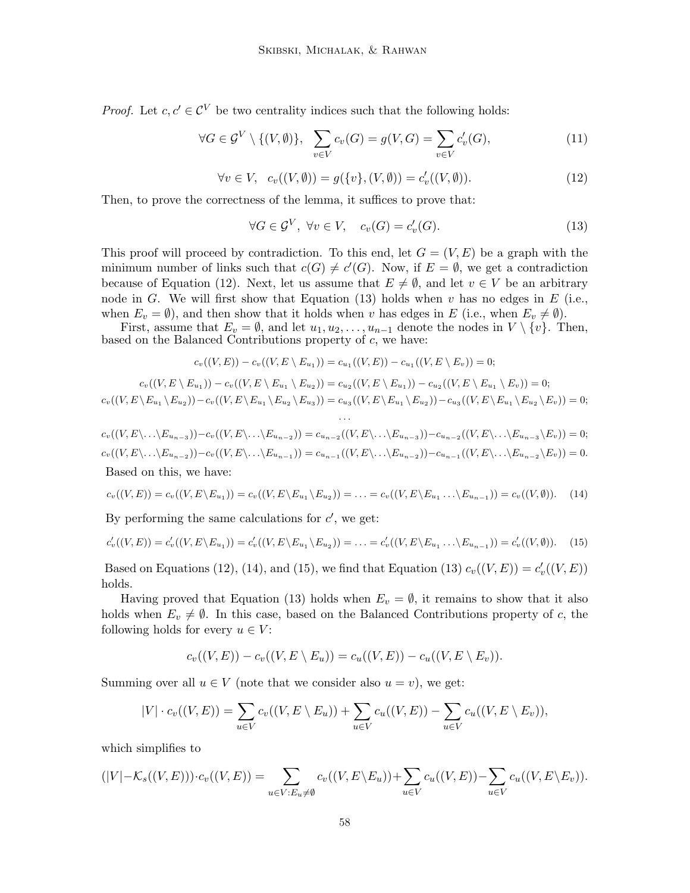*Proof.* Let  $c, c' \in \mathcal{C}^V$  be two centrality indices such that the following holds:

$$
\forall G \in \mathcal{G}^V \setminus \{(V, \emptyset)\}, \quad \sum_{v \in V} c_v(G) = g(V, G) = \sum_{v \in V} c'_v(G), \tag{11}
$$

$$
\forall v \in V, \ c_v((V, \emptyset)) = g(\{v\}, (V, \emptyset)) = c'_v((V, \emptyset)). \tag{12}
$$

Then, to prove the correctness of the lemma, it suffices to prove that:

$$
\forall G \in \mathcal{G}^V, \ \forall v \in V, \quad c_v(G) = c'_v(G). \tag{13}
$$

This proof will proceed by contradiction. To this end, let  $G = (V, E)$  be a graph with the minimum number of links such that  $c(G) \neq c'(G)$ . Now, if  $E = \emptyset$ , we get a contradiction because of Equation (12). Next, let us assume that  $E \neq \emptyset$ , and let  $v \in V$  be an arbitrary node in G. We will first show that Equation (13) holds when v has no edges in  $E$  (i.e., when  $E_v = \emptyset$ , and then show that it holds when v has edges in E (i.e., when  $E_v \neq \emptyset$ ).

First, assume that  $E_v = \emptyset$ , and let  $u_1, u_2, \ldots, u_{n-1}$  denote the nodes in  $V \setminus \{v\}$ . Then, based on the Balanced Contributions property of  $c$ , we have:

$$
c_v((V,E)) - c_v((V,E \setminus E_{u_1})) = c_{u_1}((V,E)) - c_{u_1}((V,E \setminus E_v)) = 0;
$$

$$
c_v((V, E \setminus E_{u_1})) - c_v((V, E \setminus E_{u_1} \setminus E_{u_2})) = c_{u_2}((V, E \setminus E_{u_1})) - c_{u_2}((V, E \setminus E_{u_1} \setminus E_v)) = 0;
$$
  

$$
c_v((V, E \setminus E_{u_1} \setminus E_{u_2})) - c_v((V, E \setminus E_{u_1} \setminus E_{u_2} \setminus E_{u_3})) = c_{u_3}((V, E \setminus E_{u_1} \setminus E_{u_2})) - c_{u_3}((V, E \setminus E_{u_1} \setminus E_{u_2} \setminus E_v)) = 0;
$$

$$
c_v((V, E\backslash \ldots \backslash E_{u_{n-3}})) - c_v((V, E\backslash \ldots \backslash E_{u_{n-2}})) = c_{u_{n-2}}((V, E\backslash \ldots \backslash E_{u_{n-3}})) - c_{u_{n-2}}((V, E\backslash \ldots \backslash E_{u_{n-3}} \backslash E_v)) = 0;
$$
  
\n
$$
c_v((V, E\backslash \ldots \backslash E_{u_{n-2}})) - c_v((V, E\backslash \ldots \backslash E_{u_{n-1}})) = c_{u_{n-1}}((V, E\backslash \ldots \backslash E_{u_{n-2}})) - c_{u_{n-1}}((V, E\backslash \ldots \backslash E_{u_{n-2}} \backslash E_v)) = 0.
$$
  
\nBased on this, we have:

$$
c_v((V,E)) = c_v((V,E \setminus E_{u_1})) = c_v((V,E \setminus E_{u_1} \setminus E_{u_2})) = \ldots = c_v((V,E \setminus E_{u_1} \ldots \setminus E_{u_{n-1}})) = c_v((V,\emptyset)). \tag{14}
$$

By performing the same calculations for  $c'$ , we get:

$$
c'_{v}((V,E)) = c'_{v}((V,E \setminus E_{u_1})) = c'_{v}((V,E \setminus E_{u_1} \setminus E_{u_2})) = \ldots = c'_{v}((V,E \setminus E_{u_1} \ldots \setminus E_{u_{n-1}})) = c'_{v}((V,\emptyset)). \tag{15}
$$

Based on Equations (12), (14), and (15), we find that Equation (13)  $c_v((V, E)) = c'_v((V, E))$ holds.

Having proved that Equation (13) holds when  $E_v = \emptyset$ , it remains to show that it also holds when  $E_v \neq \emptyset$ . In this case, based on the Balanced Contributions property of c, the following holds for every  $u \in V$ :

$$
c_v((V,E)) - c_v((V,E \setminus E_u)) = c_u((V,E)) - c_u((V,E \setminus E_v)).
$$

Summing over all  $u \in V$  (note that we consider also  $u = v$ ), we get:

$$
|V| \cdot c_v((V, E)) = \sum_{u \in V} c_v((V, E \setminus E_u)) + \sum_{u \in V} c_u((V, E)) - \sum_{u \in V} c_u((V, E \setminus E_v)),
$$

which simplifies to

$$
(|V| - \mathcal{K}_s((V, E))) \cdot c_v((V, E)) = \sum_{u \in V: E_u \neq \emptyset} c_v((V, E \setminus E_u)) + \sum_{u \in V} c_u((V, E)) - \sum_{u \in V} c_u((V, E \setminus E_v)).
$$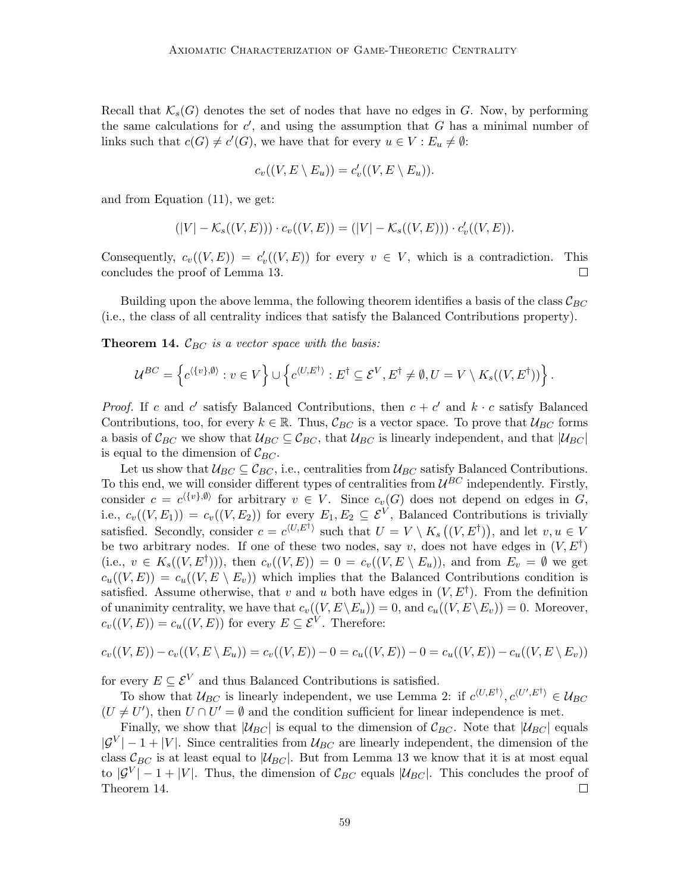Recall that  $\mathcal{K}_s(G)$  denotes the set of nodes that have no edges in G. Now, by performing the same calculations for  $c'$ , and using the assumption that G has a minimal number of links such that  $c(G) \neq c'(G)$ , we have that for every  $u \in V : E_u \neq \emptyset$ :

$$
c_v((V, E \setminus E_u)) = c'_v((V, E \setminus E_u)).
$$

and from Equation (11), we get:

$$
(|V| - \mathcal{K}_s((V, E))) \cdot c_v((V, E)) = (|V| - \mathcal{K}_s((V, E))) \cdot c'_v((V, E)).
$$

Consequently,  $c_v((V, E)) = c'_v((V, E))$  for every  $v \in V$ , which is a contradiction. This concludes the proof of Lemma 13.  $\Box$ 

Building upon the above lemma, the following theorem identifies a basis of the class  $\mathcal{C}_{BC}$ (i.e., the class of all centrality indices that satisfy the Balanced Contributions property).

**Theorem 14.**  $\mathcal{C}_{BC}$  is a vector space with the basis:

$$
\mathcal{U}^{BC} = \left\{ c^{\langle \{v\},\emptyset \rangle} : v \in V \right\} \cup \left\{ c^{\langle U,E^{\dagger} \rangle} : E^{\dagger} \subseteq \mathcal{E}^V, E^{\dagger} \neq \emptyset, U = V \setminus K_s((V,E^{\dagger})) \right\}.
$$

*Proof.* If c and c' satisfy Balanced Contributions, then  $c + c'$  and  $k \cdot c$  satisfy Balanced Contributions, too, for every  $k \in \mathbb{R}$ . Thus,  $\mathcal{C}_{BC}$  is a vector space. To prove that  $\mathcal{U}_{BC}$  forms a basis of  $\mathcal{C}_{BC}$  we show that  $\mathcal{U}_{BC} \subseteq \mathcal{C}_{BC}$ , that  $\mathcal{U}_{BC}$  is linearly independent, and that  $|\mathcal{U}_{BC}|$ is equal to the dimension of  $\mathcal{C}_{BC}$ .

Let us show that  $\mathcal{U}_{BC} \subseteq \mathcal{C}_{BC}$ , i.e., centralities from  $\mathcal{U}_{BC}$  satisfy Balanced Contributions. To this end, we will consider different types of centralities from  $U^{BC}$  independently. Firstly, consider  $c = c^{(\{v\}, \emptyset)}$  for arbitrary  $v \in V$ . Since  $c_v(G)$  does not depend on edges in G, i.e.,  $c_v((V, E_1)) = c_v((V, E_2))$  for every  $E_1, E_2 \subseteq \mathcal{E}^V$ , Balanced Contributions is trivially satisfied. Secondly, consider  $c = c^{\langle U, E^{\dagger} \rangle}$  such that  $U = V \setminus K_s((V, E^{\dagger}))$ , and let  $v, u \in V$ be two arbitrary nodes. If one of these two nodes, say v, does not have edges in  $(V, E^{\dagger})$ (i.e.,  $v \in K_s((V, E^{\dagger})))$ , then  $c_v((V, E)) = 0 = c_v((V, E \setminus E_u))$ , and from  $E_v = \emptyset$  we get  $c_u((V, E)) = c_u((V, E \setminus E_v))$  which implies that the Balanced Contributions condition is satisfied. Assume otherwise, that v and u both have edges in  $(V, E^{\dagger})$ . From the definition of unanimity centrality, we have that  $c_v((V, E \backslash E_u)) = 0$ , and  $c_u((V, E \backslash E_v)) = 0$ . Moreover,  $c_v((V, E)) = c_u((V, E))$  for every  $E \subseteq \mathcal{E}^V$ . Therefore:

$$
c_v((V, E)) - c_v((V, E \setminus E_u)) = c_v((V, E)) - 0 = c_u((V, E)) - 0 = c_u((V, E)) - c_u((V, E \setminus E_v))
$$

for every  $E \subseteq \mathcal{E}^V$  and thus Balanced Contributions is satisfied.

To show that  $\mathcal{U}_{BC}$  is linearly independent, we use Lemma 2: if  $c^{\langle U, E^{\dagger} \rangle}, c^{\langle U', E^{\dagger} \rangle} \in \mathcal{U}_{BC}$  $(U \neq U')$ , then  $U \cap U' = \emptyset$  and the condition sufficient for linear independence is met.

Finally, we show that  $|\mathcal{U}_{BC}|$  is equal to the dimension of  $\mathcal{C}_{BC}$ . Note that  $|\mathcal{U}_{BC}|$  equals  $|\mathcal{G}^V| - 1 + |V|$ . Since centralities from  $\mathcal{U}_{BC}$  are linearly independent, the dimension of the class  $\mathcal{C}_{BC}$  is at least equal to  $|\mathcal{U}_{BC}|$ . But from Lemma 13 we know that it is at most equal to  $|\mathcal{G}^V| - 1 + |V|$ . Thus, the dimension of  $\mathcal{C}_{BC}$  equals  $|\mathcal{U}_{BC}|$ . This concludes the proof of Theorem 14.  $\Box$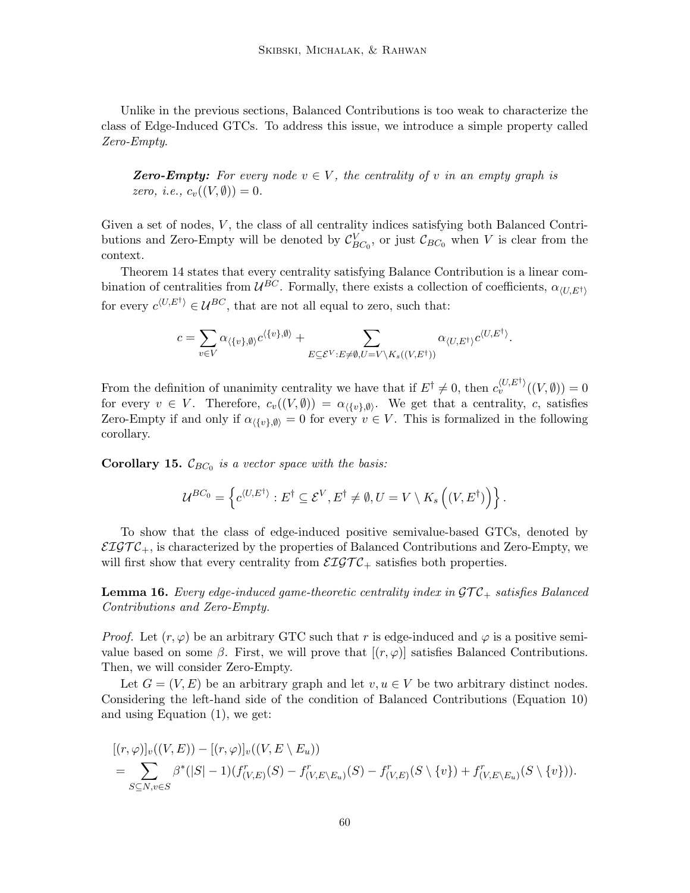Unlike in the previous sections, Balanced Contributions is too weak to characterize the class of Edge-Induced GTCs. To address this issue, we introduce a simple property called Zero-Empty.

**Zero-Empty:** For every node  $v \in V$ , the centrality of v in an empty graph is zero, i.e.,  $c_v((V, \emptyset)) = 0$ .

Given a set of nodes,  $V$ , the class of all centrality indices satisfying both Balanced Contributions and Zero-Empty will be denoted by  $\mathcal{C}_{BC_0}^V$ , or just  $\mathcal{C}_{BC_0}$  when V is clear from the context.

Theorem 14 states that every centrality satisfying Balance Contribution is a linear combination of centralities from  $U^{BC}$ . Formally, there exists a collection of coefficients,  $\alpha_{(U,E^{\dagger})}$ for every  $c^{\langle U, E^{\dagger} \rangle} \in \mathcal{U}^{BC}$ , that are not all equal to zero, such that:

$$
c = \sum_{v \in V} \alpha_{\langle \{v\}, \emptyset \rangle} c^{\langle \{v\}, \emptyset \rangle} + \sum_{E \subseteq \mathcal{E}^V: E \neq \emptyset, U = V \backslash K_s((V,E^\dagger))} \alpha_{\langle U, E^\dagger \rangle} c^{\langle U, E^\dagger \rangle}.
$$

From the definition of unanimity centrality we have that if  $E^{\dagger} \neq 0$ , then  $c_v^{\langle U, E^{\dagger} \rangle}((V, \emptyset)) = 0$ for every  $v \in V$ . Therefore,  $c_v((V, \emptyset)) = \alpha_{\langle \{v\}, \emptyset \rangle}$ . We get that a centrality, c, satisfies Zero-Empty if and only if  $\alpha_{\langle \{v\},\emptyset \rangle} = 0$  for every  $v \in V$ . This is formalized in the following corollary.

**Corollary 15.**  $\mathcal{C}_{BC_0}$  is a vector space with the basis:

$$
\mathcal{U}^{BC_0} = \left\{ c^{\langle U, E^\dagger \rangle} : E^\dagger \subseteq \mathcal{E}^V, E^\dagger \neq \emptyset, U = V \setminus K_s \left( (V, E^\dagger) \right) \right\}.
$$

To show that the class of edge-induced positive semivalue-based GTCs, denoted by  $\mathcal{EIGTC}_+$ , is characterized by the properties of Balanced Contributions and Zero-Empty, we will first show that every centrality from  $\mathcal{EIGTC}_+$  satisfies both properties.

**Lemma 16.** Every edge-induced game-theoretic centrality index in  $\mathcal{GTC}_+$  satisfies Balanced Contributions and Zero-Empty.

*Proof.* Let  $(r, \varphi)$  be an arbitrary GTC such that r is edge-induced and  $\varphi$  is a positive semivalue based on some  $\beta$ . First, we will prove that  $[(r, \varphi)]$  satisfies Balanced Contributions. Then, we will consider Zero-Empty.

Let  $G = (V, E)$  be an arbitrary graph and let  $v, u \in V$  be two arbitrary distinct nodes. Considering the left-hand side of the condition of Balanced Contributions (Equation 10) and using Equation (1), we get:

$$
[(r,\varphi)]_v((V,E)) - [(r,\varphi)]_v((V,E \setminus E_u))
$$
  
= 
$$
\sum_{S \subseteq N, v \in S} \beta^* (|S| - 1)(f^r_{(V,E)}(S) - f^r_{(V,E \setminus E_u)}(S) - f^r_{(V,E)}(S \setminus \{v\}) + f^r_{(V,E \setminus E_u)}(S \setminus \{v\})).
$$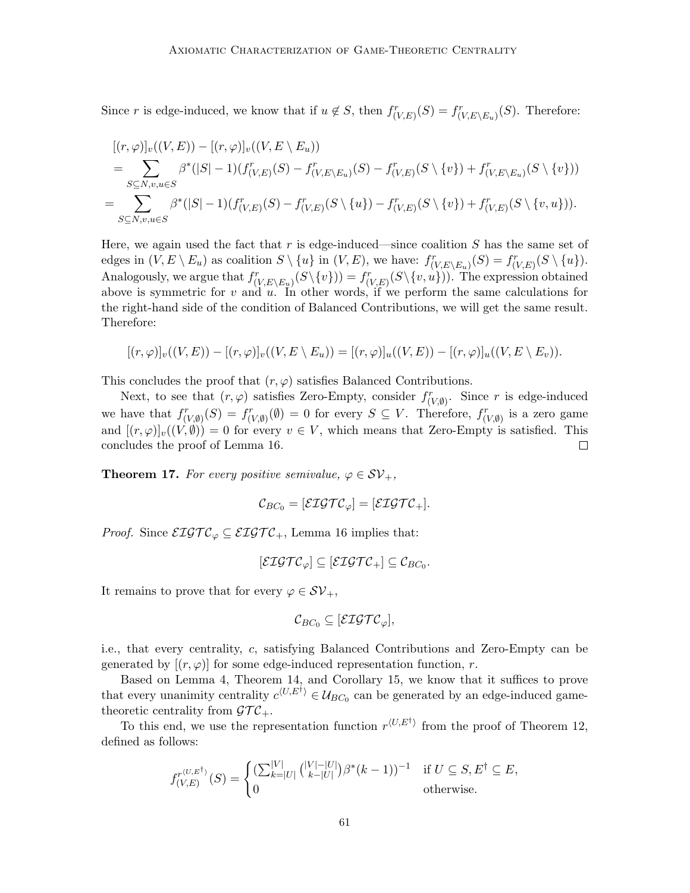Since r is edge-induced, we know that if  $u \notin S$ , then  $f_{(V,E)}^r(S) = f_{(V,E \setminus E_u)}^r(S)$ . Therefore:

$$
[(r,\varphi)]_v((V,E)) - [(r,\varphi)]_v((V,E \setminus E_u))
$$
  
= 
$$
\sum_{S \subseteq N,v,u \in S} \beta^*(|S|-1)(f_{(V,E)}^r(S) - f_{(V,E \setminus E_u)}^r(S) - f_{(V,E)}^r(S \setminus \{v\}) + f_{(V,E \setminus E_u)}^r(S \setminus \{v\}))
$$
  
= 
$$
\sum_{S \subseteq N,v,u \in S} \beta^*(|S|-1)(f_{(V,E)}^r(S) - f_{(V,E)}^r(S \setminus \{u\}) - f_{(V,E)}^r(S \setminus \{v\}) + f_{(V,E)}^r(S \setminus \{v,u\})).
$$

Here, we again used the fact that r is edge-induced—since coalition  $S$  has the same set of edges in  $(V, E \setminus E_u)$  as coalition  $S \setminus \{u\}$  in  $(V, E)$ , we have:  $f^r_{(V, E \setminus E_u)}(S) = f^r_{(V, E)}(S \setminus \{u\})$ . Analogously, we argue that  $f_{(V,E\setminus E_u)}^r(S\setminus\{v\})) = f_{(V,E)}^r(S\setminus\{v,u\}))$ . The expression obtained above is symmetric for v and u. In other words, if we perform the same calculations for the right-hand side of the condition of Balanced Contributions, we will get the same result. Therefore:

$$
[(r,\varphi)]_v((V,E)) - [(r,\varphi)]_v((V,E \setminus E_u)) = [(r,\varphi)]_u((V,E)) - [(r,\varphi)]_u((V,E \setminus E_v)).
$$

This concludes the proof that  $(r, \varphi)$  satisfies Balanced Contributions.

Next, to see that  $(r, \varphi)$  satisfies Zero-Empty, consider  $f^r_{(V, \emptyset)}$ . Since r is edge-induced we have that  $f^r_{(V,\emptyset)}(S) = f^r_{(V,\emptyset)}(\emptyset) = 0$  for every  $S \subseteq V$ . Therefore,  $f^r_{(V,\emptyset)}$  is a zero game and  $[(r, \varphi)]_v((V, \emptyset)) = 0$  for every  $v \in V$ , which means that Zero-Empty is satisfied. This concludes the proof of Lemma 16.  $\Box$ 

**Theorem 17.** For every positive semivalue,  $\varphi \in SV_+$ ,

$$
\mathcal{C}_{BC_0}=[\mathcal{ETGTC}_{\varphi}]=[\mathcal{ETGTC}_+].
$$

*Proof.* Since  $\mathcal{EIGTC}_{\varphi} \subseteq \mathcal{EIGTC}_+$ , Lemma 16 implies that:

$$
[\mathcal{EIGTC}_{\varphi}] \subseteq [\mathcal{EIGTC}_{+}] \subseteq \mathcal{C}_{BC_0}.
$$

It remains to prove that for every  $\varphi \in \mathcal{SV}_+$ ,

$$
\mathcal{C}_{BC_0} \subseteq [\mathcal{ETGTC}_{\varphi}],
$$

i.e., that every centrality, c, satisfying Balanced Contributions and Zero-Empty can be generated by  $[(r, \varphi)]$  for some edge-induced representation function, r.

Based on Lemma 4, Theorem 14, and Corollary 15, we know that it suffices to prove that every unanimity centrality  $c^{(U,E^{\dagger})} \in \mathcal{U}_{BC_0}$  can be generated by an edge-induced gametheoretic centrality from  $\mathcal{GTC}_+$ .

To this end, we use the representation function  $r^{\langle U, E^{\dagger} \rangle}$  from the proof of Theorem 12, defined as follows:

$$
f_{(V,E)}^{r^{\langle U,E^{\dagger}\rangle}}(S) = \begin{cases} \left(\sum_{k=|U|}^{|V|} {(|V|-|U| \choose k-|U|}) \beta^*(k-1)\right)^{-1} & \text{if } U \subseteq S, E^{\dagger} \subseteq E, \\ 0 & \text{otherwise.} \end{cases}
$$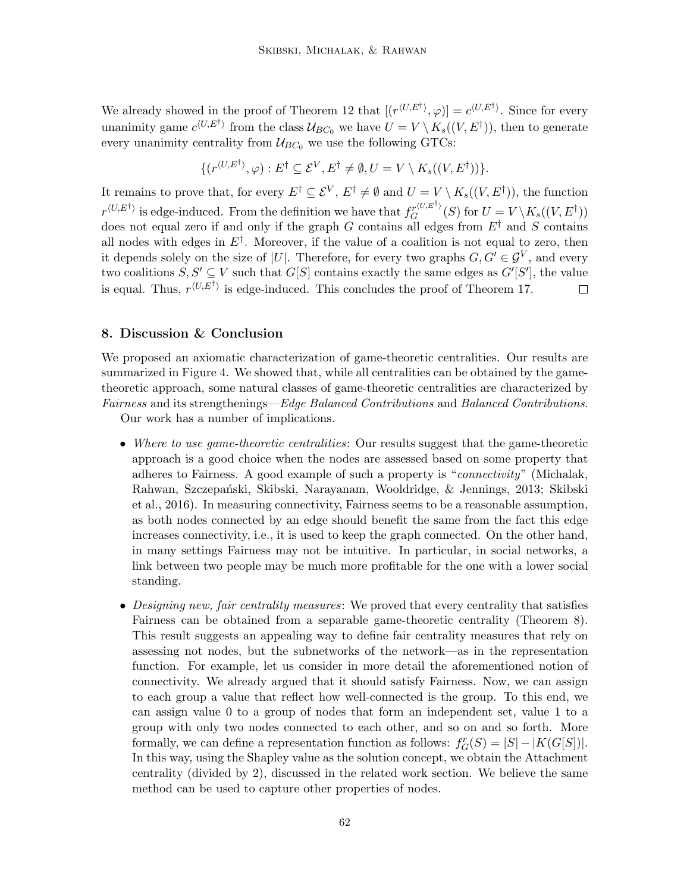We already showed in the proof of Theorem 12 that  $[(r^{(U,E^{\dagger})}, \varphi)] = c^{\langle U, E^{\dagger} \rangle}$ . Since for every unanimity game  $c^{(U,E^{\dagger})}$  from the class  $\mathcal{U}_{BC_0}$  we have  $U = V \setminus K_s((V, E^{\dagger}))$ , then to generate every unanimity centrality from  $\mathcal{U}_{BC_0}$  we use the following GTCs:

$$
\{(r^{\langle U, E^{\dagger} \rangle}, \varphi) : E^{\dagger} \subseteq \mathcal{E}^{V}, E^{\dagger} \neq \emptyset, U = V \setminus K_s((V, E^{\dagger}))\}.
$$

It remains to prove that, for every  $E^{\dagger} \subseteq \mathcal{E}^V$ ,  $E^{\dagger} \neq \emptyset$  and  $U = V \setminus K_s((V, E^{\dagger}))$ , the function  $r^{\langle U, E^{\dagger} \rangle}$  is edge-induced. From the definition we have that  $f_G^{r^{\langle U, E^{\dagger} \rangle}}(S)$  for  $U = V \setminus K_s((V, E^{\dagger}))$ does not equal zero if and only if the graph G contains all edges from  $E^{\dagger}$  and S contains all nodes with edges in  $E^{\dagger}$ . Moreover, if the value of a coalition is not equal to zero, then it depends solely on the size of |U|. Therefore, for every two graphs  $G, G' \in \mathcal{G}^V$ , and every two coalitions  $S, S' \subseteq V$  such that  $G[S]$  contains exactly the same edges as  $G'[S']$ , the value is equal. Thus,  $r^{\langle U, E^{\dagger} \rangle}$  is edge-induced. This concludes the proof of Theorem 17.  $\Box$ 

# 8. Discussion & Conclusion

We proposed an axiomatic characterization of game-theoretic centralities. Our results are summarized in Figure 4. We showed that, while all centralities can be obtained by the gametheoretic approach, some natural classes of game-theoretic centralities are characterized by Fairness and its strengthenings—Edge Balanced Contributions and Balanced Contributions.

Our work has a number of implications.

- Where to use game-theoretic centralities: Our results suggest that the game-theoretic approach is a good choice when the nodes are assessed based on some property that adheres to Fairness. A good example of such a property is "connectivity" (Michalak, Rahwan, Szczepański, Skibski, Narayanam, Wooldridge, & Jennings, 2013; Skibski et al., 2016). In measuring connectivity, Fairness seems to be a reasonable assumption, as both nodes connected by an edge should benefit the same from the fact this edge increases connectivity, i.e., it is used to keep the graph connected. On the other hand, in many settings Fairness may not be intuitive. In particular, in social networks, a link between two people may be much more profitable for the one with a lower social standing.
- Designing new, fair centrality measures: We proved that every centrality that satisfies Fairness can be obtained from a separable game-theoretic centrality (Theorem 8). This result suggests an appealing way to define fair centrality measures that rely on assessing not nodes, but the subnetworks of the network—as in the representation function. For example, let us consider in more detail the aforementioned notion of connectivity. We already argued that it should satisfy Fairness. Now, we can assign to each group a value that reflect how well-connected is the group. To this end, we can assign value 0 to a group of nodes that form an independent set, value 1 to a group with only two nodes connected to each other, and so on and so forth. More formally, we can define a representation function as follows:  $f_G^r(S) = |S| - |K(G[S])|$ . In this way, using the Shapley value as the solution concept, we obtain the Attachment centrality (divided by 2), discussed in the related work section. We believe the same method can be used to capture other properties of nodes.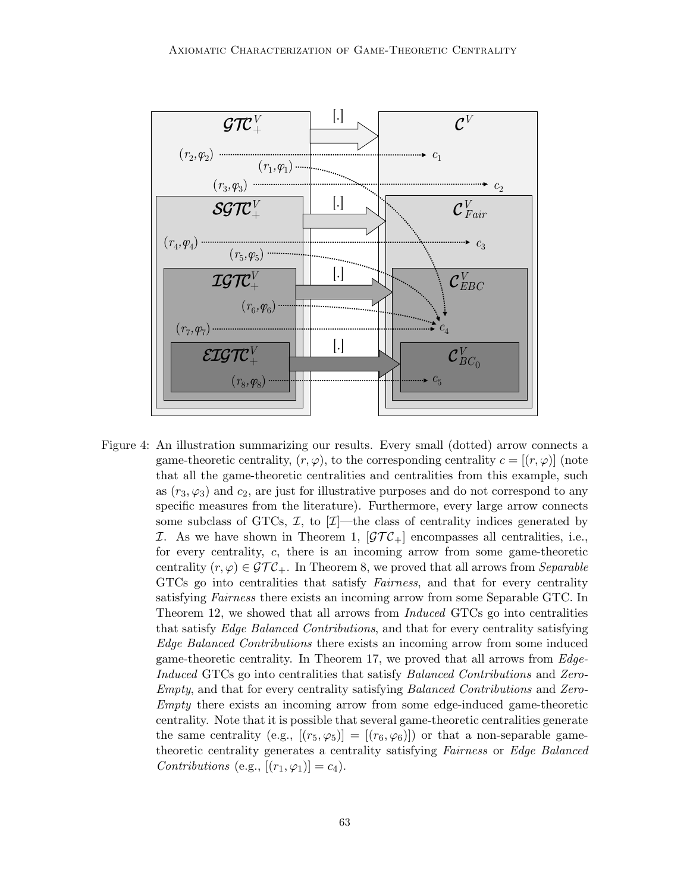

Figure 4: An illustration summarizing our results. Every small (dotted) arrow connects a game-theoretic centrality,  $(r, \varphi)$ , to the corresponding centrality  $c = [(r, \varphi)]$  (note that all the game-theoretic centralities and centralities from this example, such as  $(r_3, \varphi_3)$  and  $c_2$ , are just for illustrative purposes and do not correspond to any specific measures from the literature). Furthermore, every large arrow connects some subclass of GTCs,  $\mathcal{I}$ , to  $[\mathcal{I}]$ —the class of centrality indices generated by I. As we have shown in Theorem 1,  $[\mathcal{GTC}_+]$  encompasses all centralities, i.e., for every centrality, c, there is an incoming arrow from some game-theoretic centrality  $(r, \varphi) \in \mathcal{GTC}_+$ . In Theorem 8, we proved that all arrows from Separable GTCs go into centralities that satisfy Fairness, and that for every centrality satisfying Fairness there exists an incoming arrow from some Separable GTC. In Theorem 12, we showed that all arrows from Induced GTCs go into centralities that satisfy Edge Balanced Contributions, and that for every centrality satisfying Edge Balanced Contributions there exists an incoming arrow from some induced game-theoretic centrality. In Theorem 17, we proved that all arrows from Edge-Induced GTCs go into centralities that satisfy Balanced Contributions and Zero-Empty, and that for every centrality satisfying Balanced Contributions and Zero-Empty there exists an incoming arrow from some edge-induced game-theoretic centrality. Note that it is possible that several game-theoretic centralities generate the same centrality (e.g.,  $[(r_5,\varphi_5)] = [(r_6,\varphi_6)]$ ) or that a non-separable gametheoretic centrality generates a centrality satisfying Fairness or Edge Balanced Contributions (e.g.,  $[(r_1, \varphi_1)] = c_4$ ).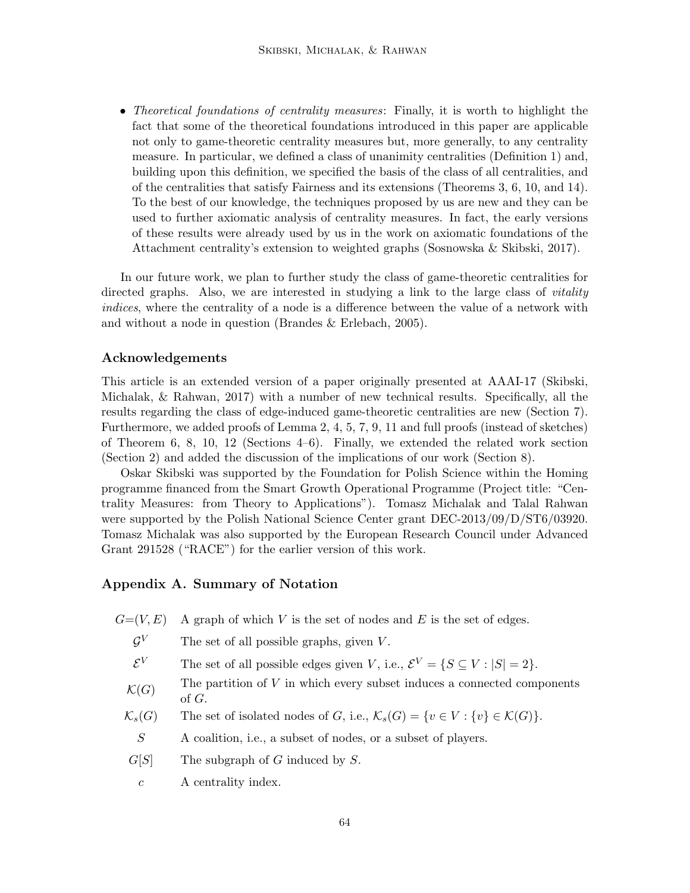• Theoretical foundations of centrality measures: Finally, it is worth to highlight the fact that some of the theoretical foundations introduced in this paper are applicable not only to game-theoretic centrality measures but, more generally, to any centrality measure. In particular, we defined a class of unanimity centralities (Definition 1) and, building upon this definition, we specified the basis of the class of all centralities, and of the centralities that satisfy Fairness and its extensions (Theorems 3, 6, 10, and 14). To the best of our knowledge, the techniques proposed by us are new and they can be used to further axiomatic analysis of centrality measures. In fact, the early versions of these results were already used by us in the work on axiomatic foundations of the Attachment centrality's extension to weighted graphs (Sosnowska & Skibski, 2017).

In our future work, we plan to further study the class of game-theoretic centralities for directed graphs. Also, we are interested in studying a link to the large class of *vitality* indices, where the centrality of a node is a difference between the value of a network with and without a node in question (Brandes & Erlebach, 2005).

# Acknowledgements

This article is an extended version of a paper originally presented at AAAI-17 (Skibski, Michalak, & Rahwan, 2017) with a number of new technical results. Specifically, all the results regarding the class of edge-induced game-theoretic centralities are new (Section 7). Furthermore, we added proofs of Lemma 2, 4, 5, 7, 9, 11 and full proofs (instead of sketches) of Theorem 6, 8, 10, 12 (Sections 4–6). Finally, we extended the related work section (Section 2) and added the discussion of the implications of our work (Section 8).

Oskar Skibski was supported by the Foundation for Polish Science within the Homing programme financed from the Smart Growth Operational Programme (Project title: "Centrality Measures: from Theory to Applications"). Tomasz Michalak and Talal Rahwan were supported by the Polish National Science Center grant DEC-2013/09/D/ST6/03920. Tomasz Michalak was also supported by the European Research Council under Advanced Grant 291528 ("RACE") for the earlier version of this work.

## Appendix A. Summary of Notation

- $G=(V, E)$  A graph of which V is the set of nodes and E is the set of edges.
	- $\mathcal{G}^V$ The set of all possible graphs, given  $V$ .
	- $\mathcal{E}^V$ The set of all possible edges given V, i.e.,  $\mathcal{E}^V = \{ S \subseteq V : |S| = 2 \}.$
	- $\mathcal{K}(G)$ The partition of  $V$  in which every subset induces a connected components of G.
	- $\mathcal{K}_s(G)$  The set of isolated nodes of G, i.e.,  $\mathcal{K}_s(G) = \{v \in V : \{v\} \in \mathcal{K}(G)\}.$ 
		- S A coalition, i.e., a subset of nodes, or a subset of players.
	- $G[S]$  The subgraph of G induced by S.
		- c A centrality index.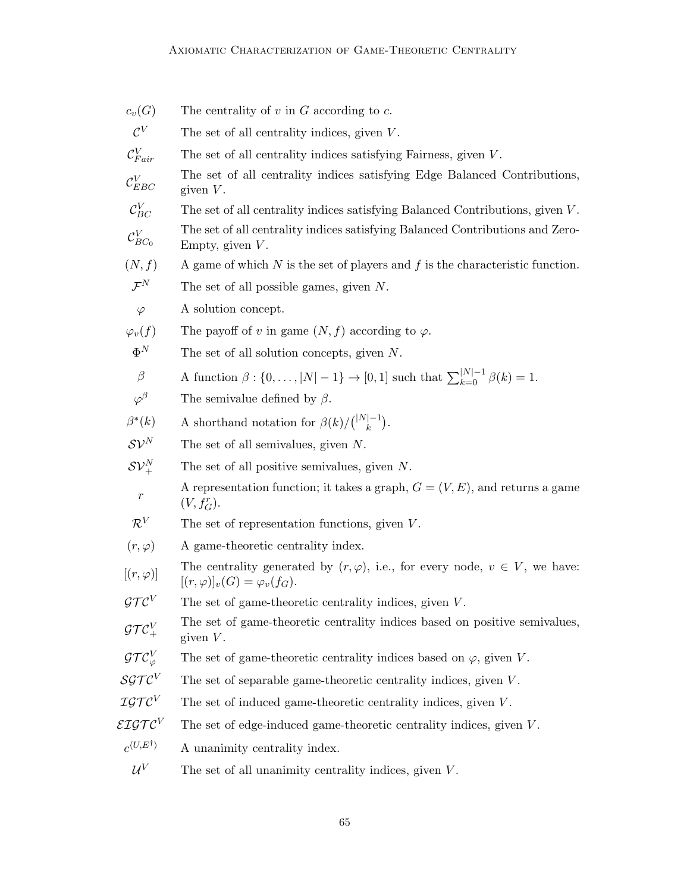| $c_v(G)$                             | The centrality of $v$ in $G$ according to $c$ .                                                                                   |
|--------------------------------------|-----------------------------------------------------------------------------------------------------------------------------------|
| $\mathcal{C}^V$                      | The set of all centrality indices, given $V$ .                                                                                    |
| $\mathcal{C}_{Fair}^V$               | The set of all centrality indices satisfying Fairness, given $V$ .                                                                |
| $\mathcal{C}_{EBC}^V$                | The set of all centrality indices satisfying Edge Balanced Contributions,<br>given $V$ .                                          |
| $\mathcal{C}_{BC}^V$                 | The set of all centrality indices satisfying Balanced Contributions, given $V$ .                                                  |
| $\mathcal{C}_{BC_0}^V$               | The set of all centrality indices satisfying Balanced Contributions and Zero-<br>Empty, given $V$ .                               |
| (N, f)                               | A game of which $N$ is the set of players and $f$ is the characteristic function.                                                 |
| $\mathcal{F}^N$                      | The set of all possible games, given $N$ .                                                                                        |
| $\varphi$                            | A solution concept.                                                                                                               |
| $\varphi_v(f)$                       | The payoff of v in game $(N, f)$ according to $\varphi$ .                                                                         |
| $\Phi^N$                             | The set of all solution concepts, given $N$ .                                                                                     |
| $\beta$                              | A function $\beta : \{0, ,  N -1\} \to [0,1]$ such that $\sum_{k=0}^{ N -1} \beta(k) = 1$ .                                       |
| $\varphi^\beta$                      | The semivalue defined by $\beta$ .                                                                                                |
| $\beta^*(k)$                         | A shorthand notation for $\beta(k)/\binom{ N -1}{k}$ .                                                                            |
| $\mathcal{SV}^N$                     | The set of all semivalues, given $N$ .                                                                                            |
| $\mathcal{SV}^N_+$                   | The set of all positive semivalues, given $N$ .                                                                                   |
| $\,r\,$                              | A representation function; it takes a graph, $G = (V, E)$ , and returns a game<br>$(V, f_G^r)$ .                                  |
| $\mathcal{R}^V$                      | The set of representation functions, given $V$ .                                                                                  |
| $(r,\varphi)$                        | A game-theoretic centrality index.                                                                                                |
| $[(r,\varphi)]$                      | The centrality generated by $(r, \varphi)$ , i.e., for every node, $v \in V$ , we have:<br>$[(r,\varphi)]_v(G) = \varphi_v(f_G).$ |
| $\mathcal{GTC}^V$                    | The set of game-theoretic centrality indices, given $V$ .                                                                         |
| $\mathcal{GTC}^V_+$                  | The set of game-theoretic centrality indices based on positive semivalues,<br>given $V$ .                                         |
| $\mathcal{GTC}^V_\varphi$            | The set of game-theoretic centrality indices based on $\varphi$ , given V.                                                        |
| SGTC <sup>V</sup>                    | The set of separable game-theoretic centrality indices, given $V$ .                                                               |
| $\mathcal{IGTC}^V$                   | The set of induced game-theoretic centrality indices, given V.                                                                    |
| $\mathcal{EIGTC}^V$                  | The set of edge-induced game-theoretic centrality indices, given $V$ .                                                            |
| $c^{\langle U, E^{\dagger} \rangle}$ | A unanimity centrality index.                                                                                                     |
| $\mathcal{U}^V$                      | The set of all unanimity centrality indices, given $V$ .                                                                          |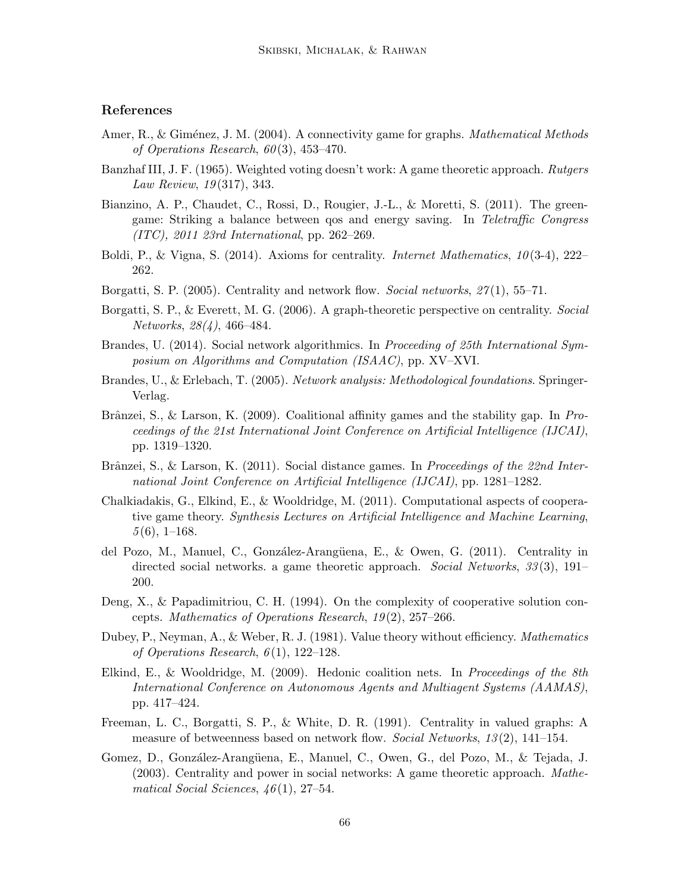# References

- Amer, R., & Giménez, J. M. (2004). A connectivity game for graphs. *Mathematical Methods* of Operations Research,  $60(3)$ ,  $453-470$ .
- Banzhaf III, J. F. (1965). Weighted voting doesn't work: A game theoretic approach. Rutgers Law Review, 19 (317), 343.
- Bianzino, A. P., Chaudet, C., Rossi, D., Rougier, J.-L., & Moretti, S. (2011). The greengame: Striking a balance between qos and energy saving. In Teletraffic Congress (ITC), 2011 23rd International, pp. 262–269.
- Boldi, P., & Vigna, S. (2014). Axioms for centrality. *Internet Mathematics*,  $10(3-4)$ , 222– 262.
- Borgatti, S. P.  $(2005)$ . Centrality and network flow. *Social networks*,  $27(1)$ , 55–71.
- Borgatti, S. P., & Everett, M. G. (2006). A graph-theoretic perspective on centrality. Social Networks, 28(4), 466–484.
- Brandes, U. (2014). Social network algorithmics. In Proceeding of 25th International Symposium on Algorithms and Computation (ISAAC), pp. XV–XVI.
- Brandes, U., & Erlebach, T. (2005). Network analysis: Methodological foundations. Springer-Verlag.
- Brânzei, S., & Larson, K. (2009). Coalitional affinity games and the stability gap. In Proceedings of the 21st International Joint Conference on Artificial Intelligence (IJCAI), pp. 1319–1320.
- Brânzei, S., & Larson, K.  $(2011)$ . Social distance games. In *Proceedings of the 22nd Inter*national Joint Conference on Artificial Intelligence (IJCAI), pp. 1281–1282.
- Chalkiadakis, G., Elkind, E., & Wooldridge, M. (2011). Computational aspects of cooperative game theory. Synthesis Lectures on Artificial Intelligence and Machine Learning,  $5(6)$ , 1–168.
- del Pozo, M., Manuel, C., González-Arangüena, E., & Owen, G. (2011). Centrality in directed social networks. a game theoretic approach. Social Networks, 33(3), 191– 200.
- Deng, X., & Papadimitriou, C. H. (1994). On the complexity of cooperative solution concepts. Mathematics of Operations Research, 19 (2), 257–266.
- Dubey, P., Neyman, A., & Weber, R. J. (1981). Value theory without efficiency. *Mathematics* of Operations Research,  $6(1)$ , 122–128.
- Elkind, E., & Wooldridge, M. (2009). Hedonic coalition nets. In *Proceedings of the 8th* International Conference on Autonomous Agents and Multiagent Systems (AAMAS), pp. 417–424.
- Freeman, L. C., Borgatti, S. P., & White, D. R. (1991). Centrality in valued graphs: A measure of betweenness based on network flow. Social Networks, 13(2), 141–154.
- Gomez, D., González-Arangüena, E., Manuel, C., Owen, G., del Pozo, M., & Tejada, J. (2003). Centrality and power in social networks: A game theoretic approach. Mathematical Social Sciences,  $46(1)$ , 27–54.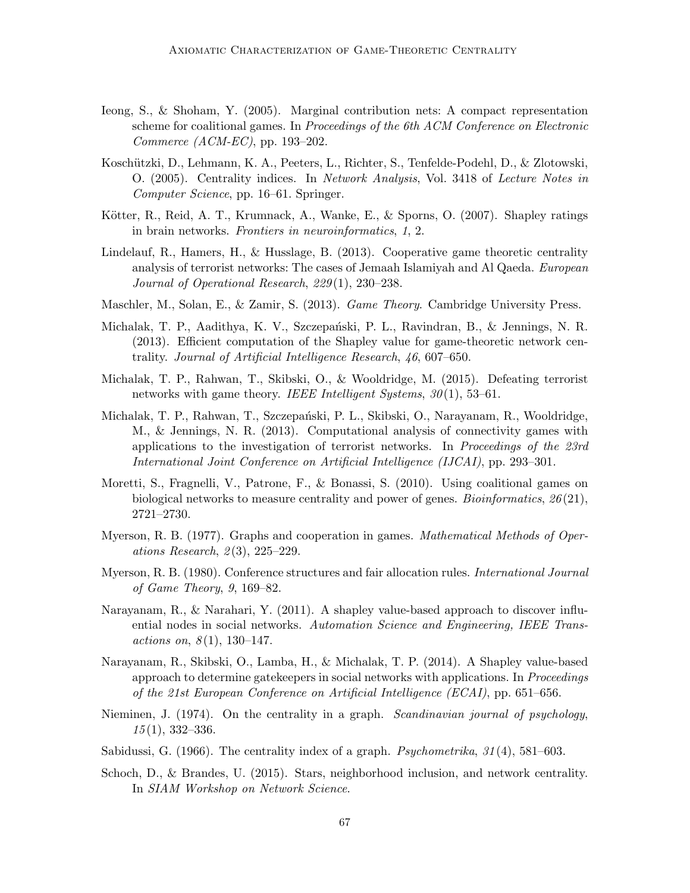- Ieong, S., & Shoham, Y. (2005). Marginal contribution nets: A compact representation scheme for coalitional games. In Proceedings of the 6th ACM Conference on Electronic Commerce (ACM-EC), pp. 193–202.
- Koschützki, D., Lehmann, K. A., Peeters, L., Richter, S., Tenfelde-Podehl, D., & Zlotowski, O. (2005). Centrality indices. In Network Analysis, Vol. 3418 of Lecture Notes in Computer Science, pp. 16–61. Springer.
- Kötter, R., Reid, A. T., Krumnack, A., Wanke, E., & Sporns, O. (2007). Shapley ratings in brain networks. Frontiers in neuroinformatics, 1, 2.
- Lindelauf, R., Hamers, H., & Husslage, B. (2013). Cooperative game theoretic centrality analysis of terrorist networks: The cases of Jemaah Islamiyah and Al Qaeda. European Journal of Operational Research, 229 (1), 230–238.
- Maschler, M., Solan, E., & Zamir, S. (2013). *Game Theory*. Cambridge University Press.
- Michalak, T. P., Aadithya, K. V., Szczepański, P. L., Ravindran, B., & Jennings, N. R. (2013). Efficient computation of the Shapley value for game-theoretic network centrality. Journal of Artificial Intelligence Research, 46, 607–650.
- Michalak, T. P., Rahwan, T., Skibski, O., & Wooldridge, M. (2015). Defeating terrorist networks with game theory. IEEE Intelligent Systems,  $30(1)$ , 53–61.
- Michalak, T. P., Rahwan, T., Szczepański, P. L., Skibski, O., Narayanam, R., Wooldridge, M., & Jennings, N. R. (2013). Computational analysis of connectivity games with applications to the investigation of terrorist networks. In Proceedings of the 23rd International Joint Conference on Artificial Intelligence (IJCAI), pp. 293–301.
- Moretti, S., Fragnelli, V., Patrone, F., & Bonassi, S. (2010). Using coalitional games on biological networks to measure centrality and power of genes. Bioinformatics,  $26(21)$ , 2721–2730.
- Myerson, R. B. (1977). Graphs and cooperation in games. *Mathematical Methods of Oper*ations Research,  $2(3)$ ,  $225-229$ .
- Myerson, R. B. (1980). Conference structures and fair allocation rules. *International Journal* of Game Theory, 9, 169–82.
- Narayanam, R., & Narahari, Y. (2011). A shapley value-based approach to discover influential nodes in social networks. Automation Science and Engineering, IEEE Transactions on,  $8(1)$ , 130-147.
- Narayanam, R., Skibski, O., Lamba, H., & Michalak, T. P. (2014). A Shapley value-based approach to determine gatekeepers in social networks with applications. In Proceedings of the 21st European Conference on Artificial Intelligence (ECAI), pp. 651–656.
- Nieminen, J. (1974). On the centrality in a graph. Scandinavian journal of psychology,  $15(1), 332-336.$
- Sabidussi, G.  $(1966)$ . The centrality index of a graph. *Psychometrika*,  $31(4)$ ,  $581-603$ .
- Schoch, D., & Brandes, U. (2015). Stars, neighborhood inclusion, and network centrality. In SIAM Workshop on Network Science.